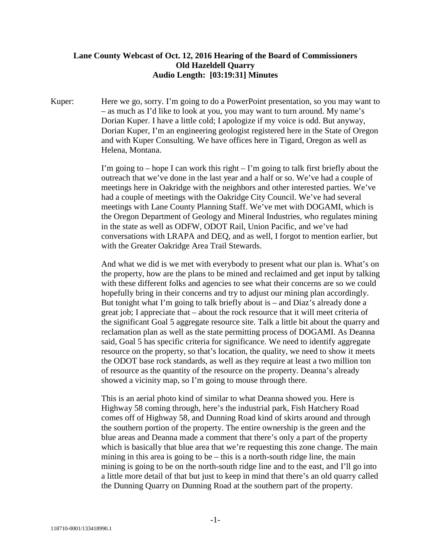## **Lane County Webcast of Oct. 12, 2016 Hearing of the Board of Commissioners Old Hazeldell Quarry Audio Length: [03:19:31] Minutes**

Kuper: Here we go, sorry. I'm going to do a PowerPoint presentation, so you may want to – as much as I'd like to look at you, you may want to turn around. My name's Dorian Kuper. I have a little cold; I apologize if my voice is odd. But anyway, Dorian Kuper, I'm an engineering geologist registered here in the State of Oregon and with Kuper Consulting. We have offices here in Tigard, Oregon as well as Helena, Montana.

> I'm going to – hope I can work this right – I'm going to talk first briefly about the outreach that we've done in the last year and a half or so. We've had a couple of meetings here in Oakridge with the neighbors and other interested parties. We've had a couple of meetings with the Oakridge City Council. We've had several meetings with Lane County Planning Staff. We've met with DOGAMI, which is the Oregon Department of Geology and Mineral Industries, who regulates mining in the state as well as ODFW, ODOT Rail, Union Pacific, and we've had conversations with LRAPA and DEQ, and as well, I forgot to mention earlier, but with the Greater Oakridge Area Trail Stewards.

> And what we did is we met with everybody to present what our plan is. What's on the property, how are the plans to be mined and reclaimed and get input by talking with these different folks and agencies to see what their concerns are so we could hopefully bring in their concerns and try to adjust our mining plan accordingly. But tonight what I'm going to talk briefly about is – and Diaz's already done a great job; I appreciate that – about the rock resource that it will meet criteria of the significant Goal 5 aggregate resource site. Talk a little bit about the quarry and reclamation plan as well as the state permitting process of DOGAMI. As Deanna said, Goal 5 has specific criteria for significance. We need to identify aggregate resource on the property, so that's location, the quality, we need to show it meets the ODOT base rock standards, as well as they require at least a two million ton of resource as the quantity of the resource on the property. Deanna's already showed a vicinity map, so I'm going to mouse through there.

> This is an aerial photo kind of similar to what Deanna showed you. Here is Highway 58 coming through, here's the industrial park, Fish Hatchery Road comes off of Highway 58, and Dunning Road kind of skirts around and through the southern portion of the property. The entire ownership is the green and the blue areas and Deanna made a comment that there's only a part of the property which is basically that blue area that we're requesting this zone change. The main mining in this area is going to be – this is a north-south ridge line, the main mining is going to be on the north-south ridge line and to the east, and I'll go into a little more detail of that but just to keep in mind that there's an old quarry called the Dunning Quarry on Dunning Road at the southern part of the property.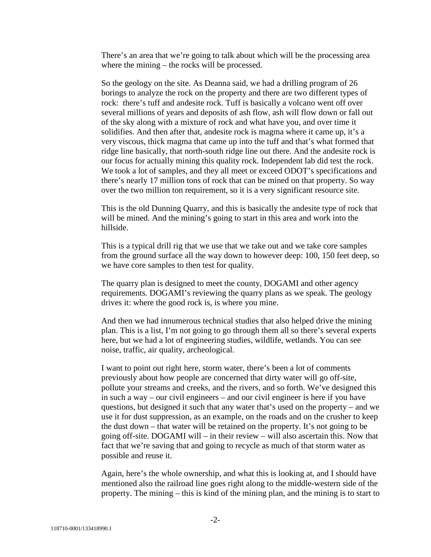There's an area that we're going to talk about which will be the processing area where the mining – the rocks will be processed.

So the geology on the site. As Deanna said, we had a drilling program of 26 borings to analyze the rock on the property and there are two different types of rock: there's tuff and andesite rock. Tuff is basically a volcano went off over several millions of years and deposits of ash flow, ash will flow down or fall out of the sky along with a mixture of rock and what have you, and over time it solidifies. And then after that, andesite rock is magma where it came up, it's a very viscous, thick magma that came up into the tuff and that's what formed that ridge line basically, that north-south ridge line out there. And the andesite rock is our focus for actually mining this quality rock. Independent lab did test the rock. We took a lot of samples, and they all meet or exceed ODOT's specifications and there's nearly 17 million tons of rock that can be mined on that property. So way over the two million ton requirement, so it is a very significant resource site.

This is the old Dunning Quarry, and this is basically the andesite type of rock that will be mined. And the mining's going to start in this area and work into the hillside.

This is a typical drill rig that we use that we take out and we take core samples from the ground surface all the way down to however deep: 100, 150 feet deep, so we have core samples to then test for quality.

The quarry plan is designed to meet the county, DOGAMI and other agency requirements. DOGAMI's reviewing the quarry plans as we speak. The geology drives it: where the good rock is, is where you mine.

And then we had innumerous technical studies that also helped drive the mining plan. This is a list, I'm not going to go through them all so there's several experts here, but we had a lot of engineering studies, wildlife, wetlands. You can see noise, traffic, air quality, archeological.

I want to point out right here, storm water, there's been a lot of comments previously about how people are concerned that dirty water will go off-site, pollute your streams and creeks, and the rivers, and so forth. We've designed this in such a way – our civil engineers – and our civil engineer is here if you have questions, but designed it such that any water that's used on the property – and we use it for dust suppression, as an example, on the roads and on the crusher to keep the dust down – that water will be retained on the property. It's not going to be going off-site. DOGAMI will – in their review – will also ascertain this. Now that fact that we're saving that and going to recycle as much of that storm water as possible and reuse it.

Again, here's the whole ownership, and what this is looking at, and I should have mentioned also the railroad line goes right along to the middle-western side of the property. The mining – this is kind of the mining plan, and the mining is to start to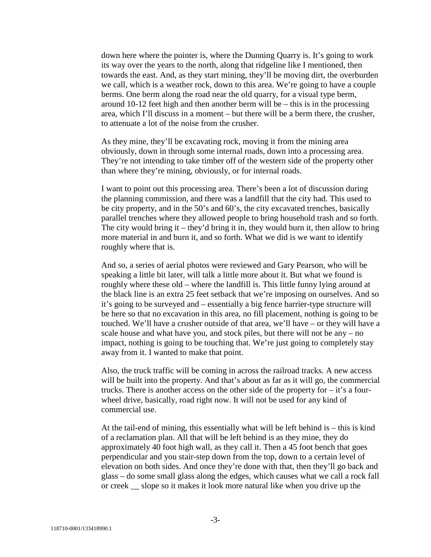down here where the pointer is, where the Dunning Quarry is. It's going to work its way over the years to the north, along that ridgeline like I mentioned, then towards the east. And, as they start mining, they'll be moving dirt, the overburden we call, which is a weather rock, down to this area. We're going to have a couple berms. One berm along the road near the old quarry, for a visual type berm, around 10-12 feet high and then another berm will be – this is in the processing area, which I'll discuss in a moment – but there will be a berm there, the crusher, to attenuate a lot of the noise from the crusher.

As they mine, they'll be excavating rock, moving it from the mining area obviously, down in through some internal roads, down into a processing area. They're not intending to take timber off of the western side of the property other than where they're mining, obviously, or for internal roads.

I want to point out this processing area. There's been a lot of discussion during the planning commission, and there was a landfill that the city had. This used to be city property, and in the 50's and 60's, the city excavated trenches, basically parallel trenches where they allowed people to bring household trash and so forth. The city would bring it – they'd bring it in, they would burn it, then allow to bring more material in and burn it, and so forth. What we did is we want to identify roughly where that is.

And so, a series of aerial photos were reviewed and Gary Pearson, who will be speaking a little bit later, will talk a little more about it. But what we found is roughly where these old – where the landfill is. This little funny lying around at the black line is an extra 25 feet setback that we're imposing on ourselves. And so it's going to be surveyed and – essentially a big fence barrier-type structure will be here so that no excavation in this area, no fill placement, nothing is going to be touched. We'll have a crusher outside of that area, we'll have – or they will have a scale house and what have you, and stock piles, but there will not be any – no impact, nothing is going to be touching that. We're just going to completely stay away from it. I wanted to make that point.

Also, the truck traffic will be coming in across the railroad tracks. A new access will be built into the property. And that's about as far as it will go, the commercial trucks. There is another access on the other side of the property for  $-$  it's a fourwheel drive, basically, road right now. It will not be used for any kind of commercial use.

At the tail-end of mining, this essentially what will be left behind is – this is kind of a reclamation plan. All that will be left behind is as they mine, they do approximately 40 foot high wall, as they call it. Then a 45 foot bench that goes perpendicular and you stair-step down from the top, down to a certain level of elevation on both sides. And once they're done with that, then they'll go back and glass – do some small glass along the edges, which causes what we call a rock fall or creek \_\_ slope so it makes it look more natural like when you drive up the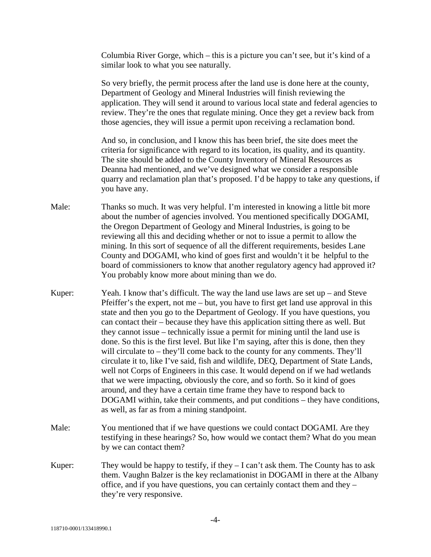Columbia River Gorge, which – this is a picture you can't see, but it's kind of a similar look to what you see naturally.

So very briefly, the permit process after the land use is done here at the county, Department of Geology and Mineral Industries will finish reviewing the application. They will send it around to various local state and federal agencies to review. They're the ones that regulate mining. Once they get a review back from those agencies, they will issue a permit upon receiving a reclamation bond.

And so, in conclusion, and I know this has been brief, the site does meet the criteria for significance with regard to its location, its quality, and its quantity. The site should be added to the County Inventory of Mineral Resources as Deanna had mentioned, and we've designed what we consider a responsible quarry and reclamation plan that's proposed. I'd be happy to take any questions, if you have any.

- Male: Thanks so much. It was very helpful. I'm interested in knowing a little bit more about the number of agencies involved. You mentioned specifically DOGAMI, the Oregon Department of Geology and Mineral Industries, is going to be reviewing all this and deciding whether or not to issue a permit to allow the mining. In this sort of sequence of all the different requirements, besides Lane County and DOGAMI, who kind of goes first and wouldn't it be helpful to the board of commissioners to know that another regulatory agency had approved it? You probably know more about mining than we do.
- Kuper: Yeah. I know that's difficult. The way the land use laws are set up and Steve Pfeiffer's the expert, not me – but, you have to first get land use approval in this state and then you go to the Department of Geology. If you have questions, you can contact their – because they have this application sitting there as well. But they cannot issue – technically issue a permit for mining until the land use is done. So this is the first level. But like I'm saying, after this is done, then they will circulate to – they'll come back to the county for any comments. They'll circulate it to, like I've said, fish and wildlife, DEQ, Department of State Lands, well not Corps of Engineers in this case. It would depend on if we had wetlands that we were impacting, obviously the core, and so forth. So it kind of goes around, and they have a certain time frame they have to respond back to DOGAMI within, take their comments, and put conditions – they have conditions, as well, as far as from a mining standpoint.
- Male: You mentioned that if we have questions we could contact DOGAMI. Are they testifying in these hearings? So, how would we contact them? What do you mean by we can contact them?
- Kuper: They would be happy to testify, if they  $-I$  can't ask them. The County has to ask them. Vaughn Balzer is the key reclamationist in DOGAMI in there at the Albany office, and if you have questions, you can certainly contact them and they – they're very responsive.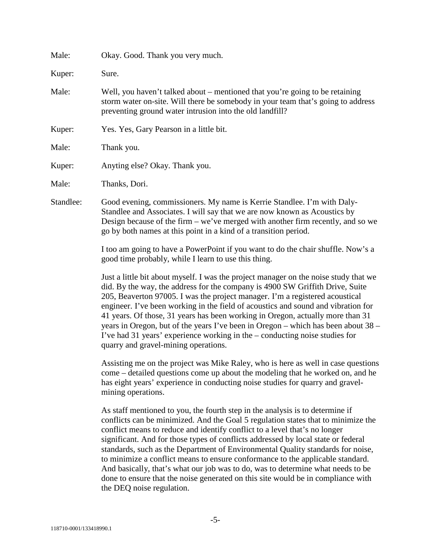| Male:     | Okay. Good. Thank you very much.                                                                                                                                                                                                                                                                                                                                                                                                                                                                                                                                                                                                                                                                               |
|-----------|----------------------------------------------------------------------------------------------------------------------------------------------------------------------------------------------------------------------------------------------------------------------------------------------------------------------------------------------------------------------------------------------------------------------------------------------------------------------------------------------------------------------------------------------------------------------------------------------------------------------------------------------------------------------------------------------------------------|
| Kuper:    | Sure.                                                                                                                                                                                                                                                                                                                                                                                                                                                                                                                                                                                                                                                                                                          |
| Male:     | Well, you haven't talked about – mentioned that you're going to be retaining<br>storm water on-site. Will there be somebody in your team that's going to address<br>preventing ground water intrusion into the old landfill?                                                                                                                                                                                                                                                                                                                                                                                                                                                                                   |
| Kuper:    | Yes. Yes, Gary Pearson in a little bit.                                                                                                                                                                                                                                                                                                                                                                                                                                                                                                                                                                                                                                                                        |
| Male:     | Thank you.                                                                                                                                                                                                                                                                                                                                                                                                                                                                                                                                                                                                                                                                                                     |
| Kuper:    | Anyting else? Okay. Thank you.                                                                                                                                                                                                                                                                                                                                                                                                                                                                                                                                                                                                                                                                                 |
| Male:     | Thanks, Dori.                                                                                                                                                                                                                                                                                                                                                                                                                                                                                                                                                                                                                                                                                                  |
| Standlee: | Good evening, commissioners. My name is Kerrie Standlee. I'm with Daly-<br>Standlee and Associates. I will say that we are now known as Acoustics by<br>Design because of the firm – we've merged with another firm recently, and so we<br>go by both names at this point in a kind of a transition period.                                                                                                                                                                                                                                                                                                                                                                                                    |
|           | I too am going to have a PowerPoint if you want to do the chair shuffle. Now's a<br>good time probably, while I learn to use this thing.                                                                                                                                                                                                                                                                                                                                                                                                                                                                                                                                                                       |
|           | Just a little bit about myself. I was the project manager on the noise study that we<br>did. By the way, the address for the company is 4900 SW Griffith Drive, Suite<br>205, Beaverton 97005. I was the project manager. I'm a registered acoustical<br>engineer. I've been working in the field of acoustics and sound and vibration for<br>41 years. Of those, 31 years has been working in Oregon, actually more than 31<br>years in Oregon, but of the years I've been in Oregon – which has been about 38 –<br>I've had 31 years' experience working in the $-$ conducting noise studies for<br>quarry and gravel-mining operations.                                                                     |
|           | Assisting me on the project was Mike Raley, who is here as well in case questions<br>come – detailed questions come up about the modeling that he worked on, and he<br>has eight years' experience in conducting noise studies for quarry and gravel-<br>mining operations.                                                                                                                                                                                                                                                                                                                                                                                                                                    |
|           | As staff mentioned to you, the fourth step in the analysis is to determine if<br>conflicts can be minimized. And the Goal 5 regulation states that to minimize the<br>conflict means to reduce and identify conflict to a level that's no longer<br>significant. And for those types of conflicts addressed by local state or federal<br>standards, such as the Department of Environmental Quality standards for noise,<br>to minimize a conflict means to ensure conformance to the applicable standard.<br>And basically, that's what our job was to do, was to determine what needs to be<br>done to ensure that the noise generated on this site would be in compliance with<br>the DEQ noise regulation. |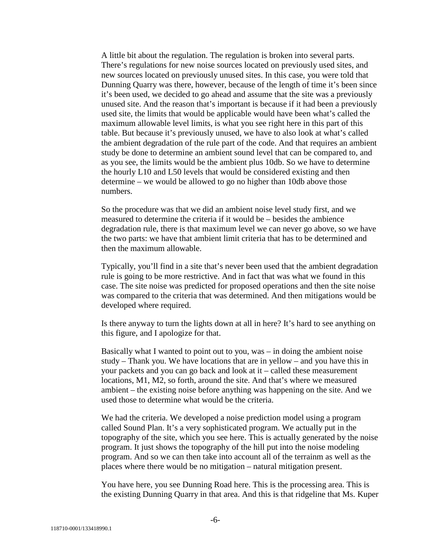A little bit about the regulation. The regulation is broken into several parts. There's regulations for new noise sources located on previously used sites, and new sources located on previously unused sites. In this case, you were told that Dunning Quarry was there, however, because of the length of time it's been since it's been used, we decided to go ahead and assume that the site was a previously unused site. And the reason that's important is because if it had been a previously used site, the limits that would be applicable would have been what's called the maximum allowable level limits, is what you see right here in this part of this table. But because it's previously unused, we have to also look at what's called the ambient degradation of the rule part of the code. And that requires an ambient study be done to determine an ambient sound level that can be compared to, and as you see, the limits would be the ambient plus 10db. So we have to determine the hourly L10 and L50 levels that would be considered existing and then determine – we would be allowed to go no higher than 10db above those numbers.

So the procedure was that we did an ambient noise level study first, and we measured to determine the criteria if it would be – besides the ambience degradation rule, there is that maximum level we can never go above, so we have the two parts: we have that ambient limit criteria that has to be determined and then the maximum allowable.

Typically, you'll find in a site that's never been used that the ambient degradation rule is going to be more restrictive. And in fact that was what we found in this case. The site noise was predicted for proposed operations and then the site noise was compared to the criteria that was determined. And then mitigations would be developed where required.

Is there anyway to turn the lights down at all in here? It's hard to see anything on this figure, and I apologize for that.

Basically what I wanted to point out to you, was – in doing the ambient noise study – Thank you. We have locations that are in yellow – and you have this in your packets and you can go back and look at it – called these measurement locations, M1, M2, so forth, around the site. And that's where we measured ambient – the existing noise before anything was happening on the site. And we used those to determine what would be the criteria.

We had the criteria. We developed a noise prediction model using a program called Sound Plan. It's a very sophisticated program. We actually put in the topography of the site, which you see here. This is actually generated by the noise program. It just shows the topography of the hill put into the noise modeling program. And so we can then take into account all of the terrainm as well as the places where there would be no mitigation – natural mitigation present.

You have here, you see Dunning Road here. This is the processing area. This is the existing Dunning Quarry in that area. And this is that ridgeline that Ms. Kuper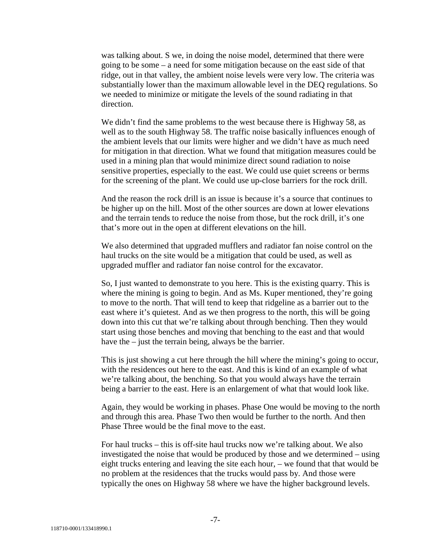was talking about. S we, in doing the noise model, determined that there were going to be some – a need for some mitigation because on the east side of that ridge, out in that valley, the ambient noise levels were very low. The criteria was substantially lower than the maximum allowable level in the DEQ regulations. So we needed to minimize or mitigate the levels of the sound radiating in that direction.

We didn't find the same problems to the west because there is Highway 58, as well as to the south Highway 58. The traffic noise basically influences enough of the ambient levels that our limits were higher and we didn't have as much need for mitigation in that direction. What we found that mitigation measures could be used in a mining plan that would minimize direct sound radiation to noise sensitive properties, especially to the east. We could use quiet screens or berms for the screening of the plant. We could use up-close barriers for the rock drill.

And the reason the rock drill is an issue is because it's a source that continues to be higher up on the hill. Most of the other sources are down at lower elevations and the terrain tends to reduce the noise from those, but the rock drill, it's one that's more out in the open at different elevations on the hill.

We also determined that upgraded mufflers and radiator fan noise control on the haul trucks on the site would be a mitigation that could be used, as well as upgraded muffler and radiator fan noise control for the excavator.

So, I just wanted to demonstrate to you here. This is the existing quarry. This is where the mining is going to begin. And as Ms. Kuper mentioned, they're going to move to the north. That will tend to keep that ridgeline as a barrier out to the east where it's quietest. And as we then progress to the north, this will be going down into this cut that we're talking about through benching. Then they would start using those benches and moving that benching to the east and that would have the – just the terrain being, always be the barrier.

This is just showing a cut here through the hill where the mining's going to occur, with the residences out here to the east. And this is kind of an example of what we're talking about, the benching. So that you would always have the terrain being a barrier to the east. Here is an enlargement of what that would look like.

Again, they would be working in phases. Phase One would be moving to the north and through this area. Phase Two then would be further to the north. And then Phase Three would be the final move to the east.

For haul trucks – this is off-site haul trucks now we're talking about. We also investigated the noise that would be produced by those and we determined – using eight trucks entering and leaving the site each hour, – we found that that would be no problem at the residences that the trucks would pass by. And those were typically the ones on Highway 58 where we have the higher background levels.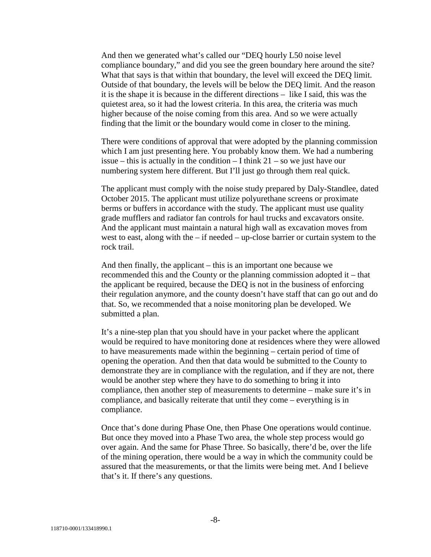And then we generated what's called our "DEQ hourly L50 noise level compliance boundary," and did you see the green boundary here around the site? What that says is that within that boundary, the level will exceed the DEQ limit. Outside of that boundary, the levels will be below the DEQ limit. And the reason it is the shape it is because in the different directions – like I said, this was the quietest area, so it had the lowest criteria. In this area, the criteria was much higher because of the noise coming from this area. And so we were actually finding that the limit or the boundary would come in closer to the mining.

There were conditions of approval that were adopted by the planning commission which I am just presenting here. You probably know them. We had a numbering issue – this is actually in the condition – I think  $21 -$  so we just have our numbering system here different. But I'll just go through them real quick.

The applicant must comply with the noise study prepared by Daly-Standlee, dated October 2015. The applicant must utilize polyurethane screens or proximate berms or buffers in accordance with the study. The applicant must use quality grade mufflers and radiator fan controls for haul trucks and excavators onsite. And the applicant must maintain a natural high wall as excavation moves from west to east, along with the – if needed – up-close barrier or curtain system to the rock trail.

And then finally, the applicant – this is an important one because we recommended this and the County or the planning commission adopted it – that the applicant be required, because the DEQ is not in the business of enforcing their regulation anymore, and the county doesn't have staff that can go out and do that. So, we recommended that a noise monitoring plan be developed. We submitted a plan.

It's a nine-step plan that you should have in your packet where the applicant would be required to have monitoring done at residences where they were allowed to have measurements made within the beginning – certain period of time of opening the operation. And then that data would be submitted to the County to demonstrate they are in compliance with the regulation, and if they are not, there would be another step where they have to do something to bring it into compliance, then another step of measurements to determine – make sure it's in compliance, and basically reiterate that until they come – everything is in compliance.

Once that's done during Phase One, then Phase One operations would continue. But once they moved into a Phase Two area, the whole step process would go over again. And the same for Phase Three. So basically, there'd be, over the life of the mining operation, there would be a way in which the community could be assured that the measurements, or that the limits were being met. And I believe that's it. If there's any questions.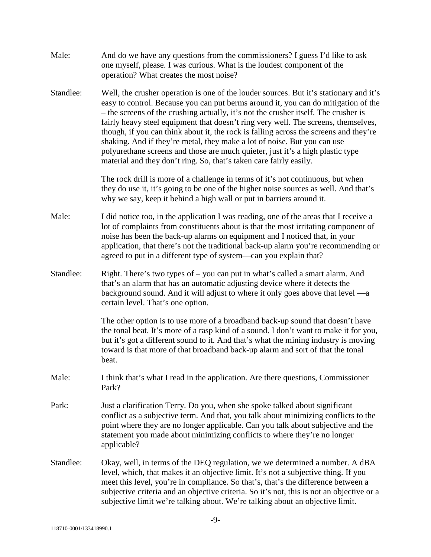| Male:     | And do we have any questions from the commissioners? I guess I'd like to ask<br>one myself, please. I was curious. What is the loudest component of the<br>operation? What creates the most noise?                                                                                                                                                                                                                                                                                                                                                                                                                                                                                     |
|-----------|----------------------------------------------------------------------------------------------------------------------------------------------------------------------------------------------------------------------------------------------------------------------------------------------------------------------------------------------------------------------------------------------------------------------------------------------------------------------------------------------------------------------------------------------------------------------------------------------------------------------------------------------------------------------------------------|
| Standlee: | Well, the crusher operation is one of the louder sources. But it's stationary and it's<br>easy to control. Because you can put berms around it, you can do mitigation of the<br>- the screens of the crushing actually, it's not the crusher itself. The crusher is<br>fairly heavy steel equipment that doesn't ring very well. The screens, themselves,<br>though, if you can think about it, the rock is falling across the screens and they're<br>shaking. And if they're metal, they make a lot of noise. But you can use<br>polyurethane screens and those are much quieter, just it's a high plastic type<br>material and they don't ring. So, that's taken care fairly easily. |
|           | The rock drill is more of a challenge in terms of it's not continuous, but when<br>they do use it, it's going to be one of the higher noise sources as well. And that's<br>why we say, keep it behind a high wall or put in barriers around it.                                                                                                                                                                                                                                                                                                                                                                                                                                        |
| Male:     | I did notice too, in the application I was reading, one of the areas that I receive a<br>lot of complaints from constituents about is that the most irritating component of<br>noise has been the back-up alarms on equipment and I noticed that, in your<br>application, that there's not the traditional back-up alarm you're recommending or<br>agreed to put in a different type of system—can you explain that?                                                                                                                                                                                                                                                                   |
| Standlee: | Right. There's two types of – you can put in what's called a smart alarm. And<br>that's an alarm that has an automatic adjusting device where it detects the<br>background sound. And it will adjust to where it only goes above that level —a<br>certain level. That's one option.                                                                                                                                                                                                                                                                                                                                                                                                    |
|           | The other option is to use more of a broadband back-up sound that doesn't have<br>the tonal beat. It's more of a rasp kind of a sound. I don't want to make it for you,<br>but it's got a different sound to it. And that's what the mining industry is moving<br>toward is that more of that broadband back-up alarm and sort of that the tonal<br>beat.                                                                                                                                                                                                                                                                                                                              |
| Male:     | I think that's what I read in the application. Are there questions, Commissioner<br>Park?                                                                                                                                                                                                                                                                                                                                                                                                                                                                                                                                                                                              |
| Park:     | Just a clarification Terry. Do you, when she spoke talked about significant<br>conflict as a subjective term. And that, you talk about minimizing conflicts to the<br>point where they are no longer applicable. Can you talk about subjective and the<br>statement you made about minimizing conflicts to where they're no longer<br>applicable?                                                                                                                                                                                                                                                                                                                                      |
| Standlee: | Okay, well, in terms of the DEQ regulation, we we determined a number. A dBA<br>level, which, that makes it an objective limit. It's not a subjective thing. If you<br>meet this level, you're in compliance. So that's, that's the difference between a<br>subjective criteria and an objective criteria. So it's not, this is not an objective or a<br>subjective limit we're talking about. We're talking about an objective limit.                                                                                                                                                                                                                                                 |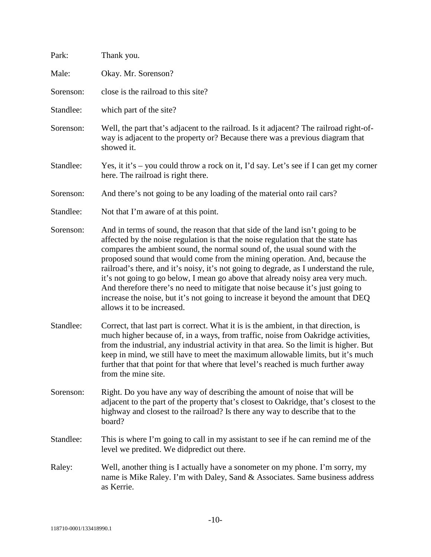| Park:     | Thank you.                                                                                                                                                                                                                                                                                                                                                                                                                                                                                                                                                                                                                                                                                                     |
|-----------|----------------------------------------------------------------------------------------------------------------------------------------------------------------------------------------------------------------------------------------------------------------------------------------------------------------------------------------------------------------------------------------------------------------------------------------------------------------------------------------------------------------------------------------------------------------------------------------------------------------------------------------------------------------------------------------------------------------|
| Male:     | Okay. Mr. Sorenson?                                                                                                                                                                                                                                                                                                                                                                                                                                                                                                                                                                                                                                                                                            |
| Sorenson: | close is the railroad to this site?                                                                                                                                                                                                                                                                                                                                                                                                                                                                                                                                                                                                                                                                            |
| Standlee: | which part of the site?                                                                                                                                                                                                                                                                                                                                                                                                                                                                                                                                                                                                                                                                                        |
| Sorenson: | Well, the part that's adjacent to the railroad. Is it adjacent? The railroad right-of-<br>way is adjacent to the property or? Because there was a previous diagram that<br>showed it.                                                                                                                                                                                                                                                                                                                                                                                                                                                                                                                          |
| Standlee: | Yes, it it's – you could throw a rock on it, I'd say. Let's see if I can get my corner<br>here. The railroad is right there.                                                                                                                                                                                                                                                                                                                                                                                                                                                                                                                                                                                   |
| Sorenson: | And there's not going to be any loading of the material onto rail cars?                                                                                                                                                                                                                                                                                                                                                                                                                                                                                                                                                                                                                                        |
| Standlee: | Not that I'm aware of at this point.                                                                                                                                                                                                                                                                                                                                                                                                                                                                                                                                                                                                                                                                           |
| Sorenson: | And in terms of sound, the reason that that side of the land isn't going to be<br>affected by the noise regulation is that the noise regulation that the state has<br>compares the ambient sound, the normal sound of, the usual sound with the<br>proposed sound that would come from the mining operation. And, because the<br>railroad's there, and it's noisy, it's not going to degrade, as I understand the rule,<br>it's not going to go below, I mean go above that already noisy area very much.<br>And therefore there's no need to mitigate that noise because it's just going to<br>increase the noise, but it's not going to increase it beyond the amount that DEQ<br>allows it to be increased. |
| Standlee: | Correct, that last part is correct. What it is is the ambient, in that direction, is<br>much higher because of, in a ways, from traffic, noise from Oakridge activities,<br>from the industrial, any industrial activity in that area. So the limit is higher. But<br>keep in mind, we still have to meet the maximum allowable limits, but it's much<br>further that that point for that where that level's reached is much further away<br>from the mine site.                                                                                                                                                                                                                                               |
| Sorenson: | Right. Do you have any way of describing the amount of noise that will be<br>adjacent to the part of the property that's closest to Oakridge, that's closest to the<br>highway and closest to the railroad? Is there any way to describe that to the<br>board?                                                                                                                                                                                                                                                                                                                                                                                                                                                 |
| Standlee: | This is where I'm going to call in my assistant to see if he can remind me of the<br>level we predited. We didpredict out there.                                                                                                                                                                                                                                                                                                                                                                                                                                                                                                                                                                               |
| Raley:    | Well, another thing is I actually have a sonometer on my phone. I'm sorry, my<br>name is Mike Raley. I'm with Daley, Sand & Associates. Same business address<br>as Kerrie.                                                                                                                                                                                                                                                                                                                                                                                                                                                                                                                                    |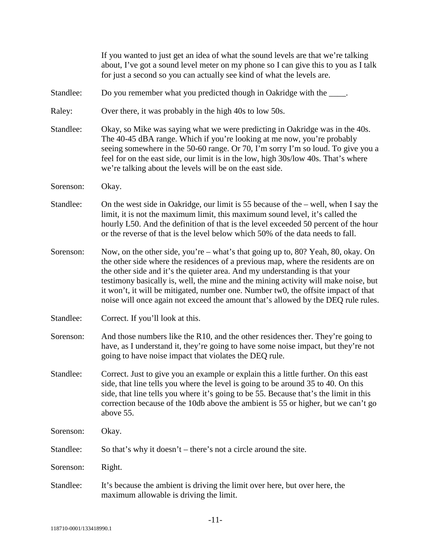|           | If you wanted to just get an idea of what the sound levels are that we're talking<br>about, I've got a sound level meter on my phone so I can give this to you as I talk<br>for just a second so you can actually see kind of what the levels are.                                                                                                                                                                                                                                                                     |
|-----------|------------------------------------------------------------------------------------------------------------------------------------------------------------------------------------------------------------------------------------------------------------------------------------------------------------------------------------------------------------------------------------------------------------------------------------------------------------------------------------------------------------------------|
| Standlee: | Do you remember what you predicted though in Oakridge with the ____.                                                                                                                                                                                                                                                                                                                                                                                                                                                   |
| Raley:    | Over there, it was probably in the high 40s to low 50s.                                                                                                                                                                                                                                                                                                                                                                                                                                                                |
| Standlee: | Okay, so Mike was saying what we were predicting in Oakridge was in the 40s.<br>The 40-45 dBA range. Which if you're looking at me now, you're probably<br>seeing somewhere in the 50-60 range. Or 70, I'm sorry I'm so loud. To give you a<br>feel for on the east side, our limit is in the low, high 30s/low 40s. That's where<br>we're talking about the levels will be on the east side.                                                                                                                          |
| Sorenson: | Okay.                                                                                                                                                                                                                                                                                                                                                                                                                                                                                                                  |
| Standlee: | On the west side in Oakridge, our limit is 55 because of the – well, when I say the<br>limit, it is not the maximum limit, this maximum sound level, it's called the<br>hourly L50. And the definition of that is the level exceeded 50 percent of the hour<br>or the reverse of that is the level below which 50% of the data needs to fall.                                                                                                                                                                          |
| Sorenson: | Now, on the other side, you're – what's that going up to, 80? Yeah, 80, okay. On<br>the other side where the residences of a previous map, where the residents are on<br>the other side and it's the quieter area. And my understanding is that your<br>testimony basically is, well, the mine and the mining activity will make noise, but<br>it won't, it will be mitigated, number one. Number two, the offsite impact of that<br>noise will once again not exceed the amount that's allowed by the DEQ rule rules. |
| Standlee: | Correct. If you'll look at this.                                                                                                                                                                                                                                                                                                                                                                                                                                                                                       |
| Sorenson: | And those numbers like the R10, and the other residences ther. They're going to<br>have, as I understand it, they're going to have some noise impact, but they're not<br>going to have noise impact that violates the DEQ rule.                                                                                                                                                                                                                                                                                        |
| Standlee: | Correct. Just to give you an example or explain this a little further. On this east<br>side, that line tells you where the level is going to be around 35 to 40. On this<br>side, that line tells you where it's going to be 55. Because that's the limit in this<br>correction because of the 10db above the ambient is 55 or higher, but we can't go<br>above 55.                                                                                                                                                    |
| Sorenson: | Okay.                                                                                                                                                                                                                                                                                                                                                                                                                                                                                                                  |
| Standlee: | So that's why it doesn't – there's not a circle around the site.                                                                                                                                                                                                                                                                                                                                                                                                                                                       |
| Sorenson: | Right.                                                                                                                                                                                                                                                                                                                                                                                                                                                                                                                 |
| Standlee: | It's because the ambient is driving the limit over here, but over here, the<br>maximum allowable is driving the limit.                                                                                                                                                                                                                                                                                                                                                                                                 |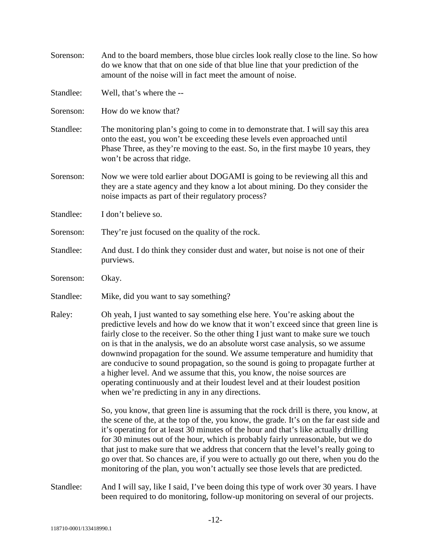| Sorenson: | And to the board members, those blue circles look really close to the line. So how<br>do we know that that on one side of that blue line that your prediction of the<br>amount of the noise will in fact meet the amount of noise.                                                                                                                                                                                                                                                                                                                                                                                                                                                                                              |
|-----------|---------------------------------------------------------------------------------------------------------------------------------------------------------------------------------------------------------------------------------------------------------------------------------------------------------------------------------------------------------------------------------------------------------------------------------------------------------------------------------------------------------------------------------------------------------------------------------------------------------------------------------------------------------------------------------------------------------------------------------|
| Standlee: | Well, that's where the --                                                                                                                                                                                                                                                                                                                                                                                                                                                                                                                                                                                                                                                                                                       |
| Sorenson: | How do we know that?                                                                                                                                                                                                                                                                                                                                                                                                                                                                                                                                                                                                                                                                                                            |
| Standlee: | The monitoring plan's going to come in to demonstrate that. I will say this area<br>onto the east, you won't be exceeding these levels even approached until<br>Phase Three, as they're moving to the east. So, in the first maybe 10 years, they<br>won't be across that ridge.                                                                                                                                                                                                                                                                                                                                                                                                                                                |
| Sorenson: | Now we were told earlier about DOGAMI is going to be reviewing all this and<br>they are a state agency and they know a lot about mining. Do they consider the<br>noise impacts as part of their regulatory process?                                                                                                                                                                                                                                                                                                                                                                                                                                                                                                             |
| Standlee: | I don't believe so.                                                                                                                                                                                                                                                                                                                                                                                                                                                                                                                                                                                                                                                                                                             |
| Sorenson: | They're just focused on the quality of the rock.                                                                                                                                                                                                                                                                                                                                                                                                                                                                                                                                                                                                                                                                                |
| Standlee: | And dust. I do think they consider dust and water, but noise is not one of their<br>purviews.                                                                                                                                                                                                                                                                                                                                                                                                                                                                                                                                                                                                                                   |
| Sorenson: | Okay.                                                                                                                                                                                                                                                                                                                                                                                                                                                                                                                                                                                                                                                                                                                           |
| Standlee: | Mike, did you want to say something?                                                                                                                                                                                                                                                                                                                                                                                                                                                                                                                                                                                                                                                                                            |
| Raley:    | Oh yeah, I just wanted to say something else here. You're asking about the<br>predictive levels and how do we know that it won't exceed since that green line is<br>fairly close to the receiver. So the other thing I just want to make sure we touch<br>on is that in the analysis, we do an absolute worst case analysis, so we assume<br>downwind propagation for the sound. We assume temperature and humidity that<br>are conducive to sound propagation, so the sound is going to propagate further at<br>a higher level. And we assume that this, you know, the noise sources are<br>operating continuously and at their loudest level and at their loudest position<br>when we're predicting in any in any directions. |
|           | So, you know, that green line is assuming that the rock drill is there, you know, at<br>the scene of the, at the top of the, you know, the grade. It's on the far east side and<br>it's operating for at least 30 minutes of the hour and that's like actually drilling<br>for 30 minutes out of the hour, which is probably fairly unreasonable, but we do<br>that just to make sure that we address that concern that the level's really going to<br>go over that. So chances are, if you were to actually go out there, when you do the<br>monitoring of the plan, you won't actually see those levels that are predicted.                                                                                                   |
| Standlee: | And I will say, like I said, I've been doing this type of work over 30 years. I have<br>been required to do monitoring, follow-up monitoring on several of our projects.                                                                                                                                                                                                                                                                                                                                                                                                                                                                                                                                                        |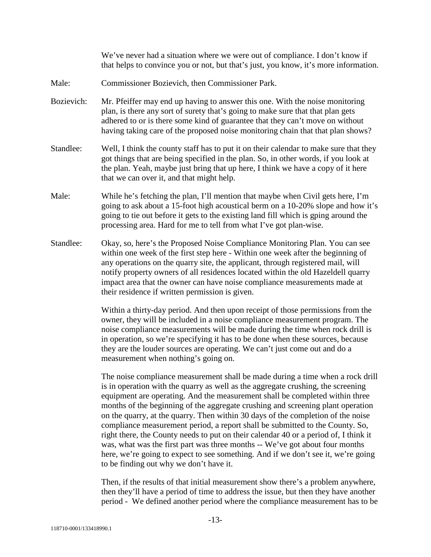We've never had a situation where we were out of compliance. I don't know if that helps to convince you or not, but that's just, you know, it's more information.

- Male: Commissioner Bozievich, then Commissioner Park.
- Bozievich: Mr. Pfeiffer may end up having to answer this one. With the noise monitoring plan, is there any sort of surety that's going to make sure that that plan gets adhered to or is there some kind of guarantee that they can't move on without having taking care of the proposed noise monitoring chain that that plan shows?
- Standlee: Well, I think the county staff has to put it on their calendar to make sure that they got things that are being specified in the plan. So, in other words, if you look at the plan. Yeah, maybe just bring that up here, I think we have a copy of it here that we can over it, and that might help.
- Male: While he's fetching the plan, I'll mention that maybe when Civil gets here, I'm going to ask about a 15-foot high acoustical berm on a 10-20% slope and how it's going to tie out before it gets to the existing land fill which is gping around the processing area. Hard for me to tell from what I've got plan-wise.
- Standlee: Okay, so, here's the Proposed Noise Compliance Monitoring Plan. You can see within one week of the first step here - Within one week after the beginning of any operations on the quarry site, the applicant, through registered mail, will notify property owners of all residences located within the old Hazeldell quarry impact area that the owner can have noise compliance measurements made at their residence if written permission is given.

Within a thirty-day period. And then upon receipt of those permissions from the owner, they will be included in a noise compliance measurement program. The noise compliance measurements will be made during the time when rock drill is in operation, so we're specifying it has to be done when these sources, because they are the louder sources are operating. We can't just come out and do a measurement when nothing's going on.

The noise compliance measurement shall be made during a time when a rock drill is in operation with the quarry as well as the aggregate crushing, the screening equipment are operating. And the measurement shall be completed within three months of the beginning of the aggregate crushing and screening plant operation on the quarry, at the quarry. Then within 30 days of the completion of the noise compliance measurement period, a report shall be submitted to the County. So, right there, the County needs to put on their calendar 40 or a period of, I think it was, what was the first part was three months -- We've got about four months here, we're going to expect to see something. And if we don't see it, we're going to be finding out why we don't have it.

Then, if the results of that initial measurement show there's a problem anywhere, then they'll have a period of time to address the issue, but then they have another period - We defined another period where the compliance measurement has to be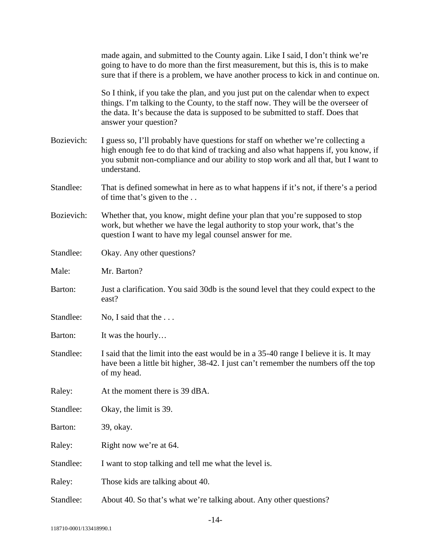|            | made again, and submitted to the County again. Like I said, I don't think we're<br>going to have to do more than the first measurement, but this is, this is to make<br>sure that if there is a problem, we have another process to kick in and continue on.                       |
|------------|------------------------------------------------------------------------------------------------------------------------------------------------------------------------------------------------------------------------------------------------------------------------------------|
|            | So I think, if you take the plan, and you just put on the calendar when to expect<br>things. I'm talking to the County, to the staff now. They will be the overseer of<br>the data. It's because the data is supposed to be submitted to staff. Does that<br>answer your question? |
| Bozievich: | I guess so, I'll probably have questions for staff on whether we're collecting a<br>high enough fee to do that kind of tracking and also what happens if, you know, if<br>you submit non-compliance and our ability to stop work and all that, but I want to<br>understand.        |
| Standlee:  | That is defined somewhat in here as to what happens if it's not, if there's a period<br>of time that's given to the                                                                                                                                                                |
| Bozievich: | Whether that, you know, might define your plan that you're supposed to stop<br>work, but whether we have the legal authority to stop your work, that's the<br>question I want to have my legal counsel answer for me.                                                              |
| Standlee:  | Okay. Any other questions?                                                                                                                                                                                                                                                         |
| Male:      | Mr. Barton?                                                                                                                                                                                                                                                                        |
| Barton:    | Just a clarification. You said 30db is the sound level that they could expect to the<br>east?                                                                                                                                                                                      |
| Standlee:  | No, I said that the                                                                                                                                                                                                                                                                |
| Barton:    | It was the hourly                                                                                                                                                                                                                                                                  |
| Standlee:  | I said that the limit into the east would be in a 35-40 range I believe it is. It may<br>have been a little bit higher, 38-42. I just can't remember the numbers off the top<br>of my head.                                                                                        |
| Raley:     | At the moment there is 39 dBA.                                                                                                                                                                                                                                                     |
| Standlee:  | Okay, the limit is 39.                                                                                                                                                                                                                                                             |
| Barton:    | 39, okay.                                                                                                                                                                                                                                                                          |
| Raley:     | Right now we're at 64.                                                                                                                                                                                                                                                             |
| Standlee:  | I want to stop talking and tell me what the level is.                                                                                                                                                                                                                              |
| Raley:     | Those kids are talking about 40.                                                                                                                                                                                                                                                   |
| Standlee:  | About 40. So that's what we're talking about. Any other questions?                                                                                                                                                                                                                 |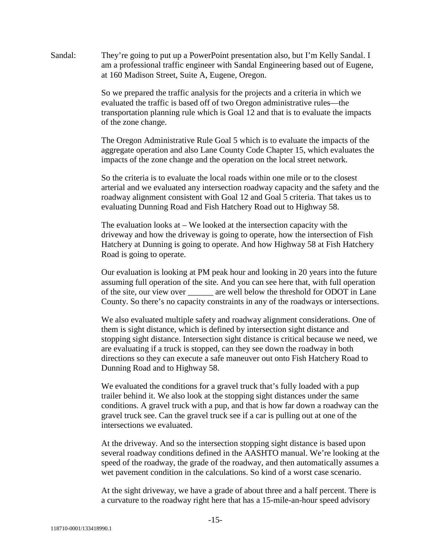Sandal: They're going to put up a PowerPoint presentation also, but I'm Kelly Sandal. I am a professional traffic engineer with Sandal Engineering based out of Eugene, at 160 Madison Street, Suite A, Eugene, Oregon.

> So we prepared the traffic analysis for the projects and a criteria in which we evaluated the traffic is based off of two Oregon administrative rules—the transportation planning rule which is Goal 12 and that is to evaluate the impacts of the zone change.

The Oregon Administrative Rule Goal 5 which is to evaluate the impacts of the aggregate operation and also Lane County Code Chapter 15, which evaluates the impacts of the zone change and the operation on the local street network.

So the criteria is to evaluate the local roads within one mile or to the closest arterial and we evaluated any intersection roadway capacity and the safety and the roadway alignment consistent with Goal 12 and Goal 5 criteria. That takes us to evaluating Dunning Road and Fish Hatchery Road out to Highway 58.

The evaluation looks at – We looked at the intersection capacity with the driveway and how the driveway is going to operate, how the intersection of Fish Hatchery at Dunning is going to operate. And how Highway 58 at Fish Hatchery Road is going to operate.

Our evaluation is looking at PM peak hour and looking in 20 years into the future assuming full operation of the site. And you can see here that, with full operation of the site, our view over \_\_\_\_\_\_ are well below the threshold for ODOT in Lane County. So there's no capacity constraints in any of the roadways or intersections.

We also evaluated multiple safety and roadway alignment considerations. One of them is sight distance, which is defined by intersection sight distance and stopping sight distance. Intersection sight distance is critical because we need, we are evaluating if a truck is stopped, can they see down the roadway in both directions so they can execute a safe maneuver out onto Fish Hatchery Road to Dunning Road and to Highway 58.

We evaluated the conditions for a gravel truck that's fully loaded with a pup trailer behind it. We also look at the stopping sight distances under the same conditions. A gravel truck with a pup, and that is how far down a roadway can the gravel truck see. Can the gravel truck see if a car is pulling out at one of the intersections we evaluated.

At the driveway. And so the intersection stopping sight distance is based upon several roadway conditions defined in the AASHTO manual. We're looking at the speed of the roadway, the grade of the roadway, and then automatically assumes a wet pavement condition in the calculations. So kind of a worst case scenario.

At the sight driveway, we have a grade of about three and a half percent. There is a curvature to the roadway right here that has a 15-mile-an-hour speed advisory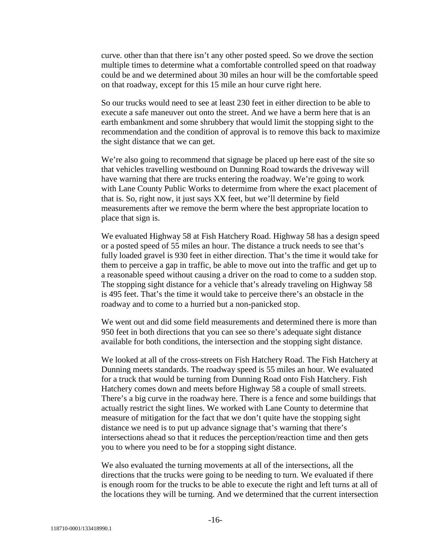curve. other than that there isn't any other posted speed. So we drove the section multiple times to determine what a comfortable controlled speed on that roadway could be and we determined about 30 miles an hour will be the comfortable speed on that roadway, except for this 15 mile an hour curve right here.

So our trucks would need to see at least 230 feet in either direction to be able to execute a safe maneuver out onto the street. And we have a berm here that is an earth embankment and some shrubbery that would limit the stopping sight to the recommendation and the condition of approval is to remove this back to maximize the sight distance that we can get.

We're also going to recommend that signage be placed up here east of the site so that vehicles travelling westbound on Dunning Road towards the driveway will have warning that there are trucks entering the roadway. We're going to work with Lane County Public Works to determime from where the exact placement of that is. So, right now, it just says XX feet, but we'll determine by field measurements after we remove the berm where the best appropriate location to place that sign is.

We evaluated Highway 58 at Fish Hatchery Road. Highway 58 has a design speed or a posted speed of 55 miles an hour. The distance a truck needs to see that's fully loaded gravel is 930 feet in either direction. That's the time it would take for them to perceive a gap in traffic, be able to move out into the traffic and get up to a reasonable speed without causing a driver on the road to come to a sudden stop. The stopping sight distance for a vehicle that's already traveling on Highway 58 is 495 feet. That's the time it would take to perceive there's an obstacle in the roadway and to come to a hurried but a non-panicked stop.

We went out and did some field measurements and determined there is more than 950 feet in both directions that you can see so there's adequate sight distance available for both conditions, the intersection and the stopping sight distance.

We looked at all of the cross-streets on Fish Hatchery Road. The Fish Hatchery at Dunning meets standards. The roadway speed is 55 miles an hour. We evaluated for a truck that would be turning from Dunning Road onto Fish Hatchery. Fish Hatchery comes down and meets before Highway 58 a couple of small streets. There's a big curve in the roadway here. There is a fence and some buildings that actually restrict the sight lines. We worked with Lane County to determine that measure of mitigation for the fact that we don't quite have the stopping sight distance we need is to put up advance signage that's warning that there's intersections ahead so that it reduces the perception/reaction time and then gets you to where you need to be for a stopping sight distance.

We also evaluated the turning movements at all of the intersections, all the directions that the trucks were going to be needing to turn. We evaluated if there is enough room for the trucks to be able to execute the right and left turns at all of the locations they will be turning. And we determined that the current intersection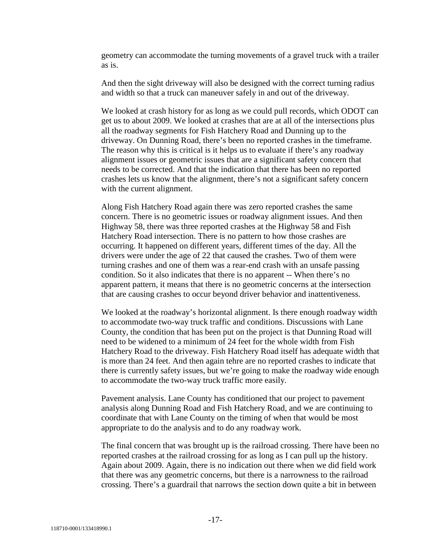geometry can accommodate the turning movements of a gravel truck with a trailer as is.

And then the sight driveway will also be designed with the correct turning radius and width so that a truck can maneuver safely in and out of the driveway.

We looked at crash history for as long as we could pull records, which ODOT can get us to about 2009. We looked at crashes that are at all of the intersections plus all the roadway segments for Fish Hatchery Road and Dunning up to the driveway. On Dunning Road, there's been no reported crashes in the timeframe. The reason why this is critical is it helps us to evaluate if there's any roadway alignment issues or geometric issues that are a significant safety concern that needs to be corrected. And that the indication that there has been no reported crashes lets us know that the alignment, there's not a significant safety concern with the current alignment.

Along Fish Hatchery Road again there was zero reported crashes the same concern. There is no geometric issues or roadway alignment issues. And then Highway 58, there was three reported crashes at the Highway 58 and Fish Hatchery Road intersection. There is no pattern to how those crashes are occurring. It happened on different years, different times of the day. All the drivers were under the age of 22 that caused the crashes. Two of them were turning crashes and one of them was a rear-end crash with an unsafe passing condition. So it also indicates that there is no apparent -- When there's no apparent pattern, it means that there is no geometric concerns at the intersection that are causing crashes to occur beyond driver behavior and inattentiveness.

We looked at the roadway's horizontal alignment. Is there enough roadway width to accommodate two-way truck traffic and conditions. Discussions with Lane County, the condition that has been put on the project is that Dunning Road will need to be widened to a minimum of 24 feet for the whole width from Fish Hatchery Road to the driveway. Fish Hatchery Road itself has adequate width that is more than 24 feet. And then again tehre are no reported crashes to indicate that there is currently safety issues, but we're going to make the roadway wide enough to accommodate the two-way truck traffic more easily.

Pavement analysis. Lane County has conditioned that our project to pavement analysis along Dunning Road and Fish Hatchery Road, and we are continuing to coordinate that with Lane County on the timing of when that would be most appropriate to do the analysis and to do any roadway work.

The final concern that was brought up is the railroad crossing. There have been no reported crashes at the railroad crossing for as long as I can pull up the history. Again about 2009. Again, there is no indication out there when we did field work that there was any geometric concerns, but there is a narrowness to the railroad crossing. There's a guardrail that narrows the section down quite a bit in between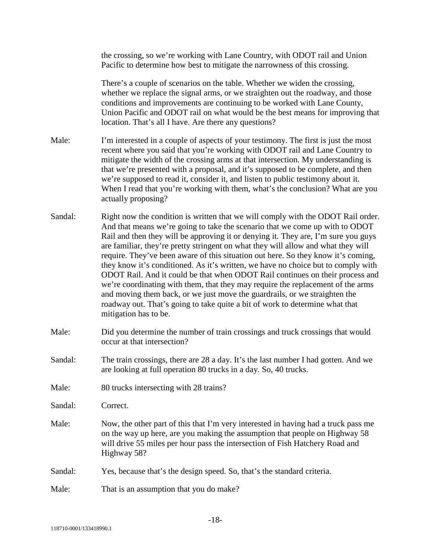the crossing, so we're working with Lane Country, with ODOT rail and Union Pacific to determine how best to mitigate the narrowness of this crossing.

There's a couple of scenarios on the table. Whether we widen the crossing, whether we replace the signal arms, or we straighten out the roadway, and those conditions and improvements are continuing to be worked with Lane County, Union Pacific and ODOT rail on what would be the best means for improving that location. That's all I have. Are there any questions?

Male: I'm interested in a couple of aspects of your testimony. The first is just the most recent where you said that you're working with ODOT rail and Lane Country to mitigate the width of the crossing arms at that intersection. My understanding is that we're presented with a proposal, and it's supposed to be complete, and then we're supposed to read it, consider it, and listen to public testimony about it. When I read that you're working with them, what's the conclusion? What are you actually proposing?

- Sandal: Right now the condition is written that we will comply with the ODOT Rail order. And that means we're going to take the scenario that we come up with to ODOT Rail and then they will be approving it or denying it. They are, I'm sure you guys are familiar, they're pretty stringent on what they will allow and what they will require. They've been aware of this situation out here. So they know it's coming, they know it's conditioned. As it's written, we have no choice but to comply with ODOT Rail. And it could be that when ODOT Rail continues on their process and we're coordinating with them, that they may require the replacement of the arms and moving them back, or we just move the guardrails, or we straighten the roadway out. That's going to take quite a bit of work to determine what that mitigation has to be.
- Male: Did you determine the number of train crossings and truck crossings that would occur at that intersection?
- Sandal: The train crossings, there are 28 a day. It's the last number I had gotten. And we are looking at full operation 80 trucks in a day. So, 40 trucks.
- Male: 80 trucks intersecting with 28 trains?

Sandal: Correct.

- Male: Now, the other part of this that I'm very interested in having had a truck pass me on the way up here, are you making the assumption that people on Highway 58 will drive 55 miles per hour pass the intersection of Fish Hatchery Road and Highway 58?
- Sandal: Yes, because that's the design speed. So, that's the standard criteria.

Male: That is an assumption that you do make?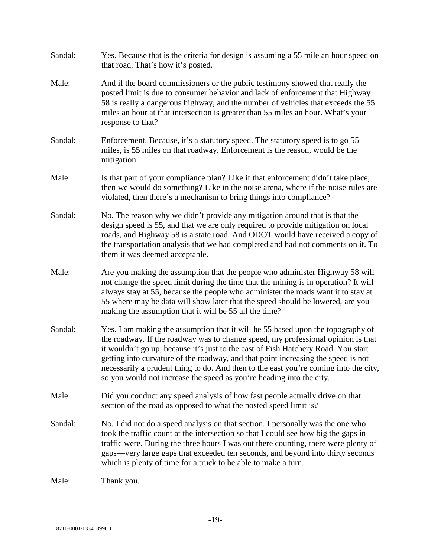| Sandal: | Yes. Because that is the criteria for design is assuming a 55 mile an hour speed on<br>that road. That's how it's posted.                                                                                                                                                                                                                                                                                                                                                                                     |
|---------|---------------------------------------------------------------------------------------------------------------------------------------------------------------------------------------------------------------------------------------------------------------------------------------------------------------------------------------------------------------------------------------------------------------------------------------------------------------------------------------------------------------|
| Male:   | And if the board commissioners or the public testimony showed that really the<br>posted limit is due to consumer behavior and lack of enforcement that Highway<br>58 is really a dangerous highway, and the number of vehicles that exceeds the 55<br>miles an hour at that intersection is greater than 55 miles an hour. What's your<br>response to that?                                                                                                                                                   |
| Sandal: | Enforcement. Because, it's a statutory speed. The statutory speed is to go 55<br>miles, is 55 miles on that roadway. Enforcement is the reason, would be the<br>mitigation.                                                                                                                                                                                                                                                                                                                                   |
| Male:   | Is that part of your compliance plan? Like if that enforcement didn't take place,<br>then we would do something? Like in the noise arena, where if the noise rules are<br>violated, then there's a mechanism to bring things into compliance?                                                                                                                                                                                                                                                                 |
| Sandal: | No. The reason why we didn't provide any mitigation around that is that the<br>design speed is 55, and that we are only required to provide mitigation on local<br>roads, and Highway 58 is a state road. And ODOT would have received a copy of<br>the transportation analysis that we had completed and had not comments on it. To<br>them it was deemed acceptable.                                                                                                                                        |
| Male:   | Are you making the assumption that the people who administer Highway 58 will<br>not change the speed limit during the time that the mining is in operation? It will<br>always stay at 55, because the people who administer the roads want it to stay at<br>55 where may be data will show later that the speed should be lowered, are you<br>making the assumption that it will be 55 all the time?                                                                                                          |
| Sandal: | Yes. I am making the assumption that it will be 55 based upon the topography of<br>the roadway. If the roadway was to change speed, my professional opinion is that<br>it wouldn't go up, because it's just to the east of Fish Hatchery Road. You start<br>getting into curvature of the roadway, and that point increasing the speed is not<br>necessarily a prudent thing to do. And then to the east you're coming into the city,<br>so you would not increase the speed as you're heading into the city. |
| Male:   | Did you conduct any speed analysis of how fast people actually drive on that<br>section of the road as opposed to what the posted speed limit is?                                                                                                                                                                                                                                                                                                                                                             |
| Sandal: | No, I did not do a speed analysis on that section. I personally was the one who<br>took the traffic count at the intersection so that I could see how big the gaps in<br>traffic were. During the three hours I was out there counting, there were plenty of<br>gaps-very large gaps that exceeded ten seconds, and beyond into thirty seconds<br>which is plenty of time for a truck to be able to make a turn.                                                                                              |
| Male:   | Thank you.                                                                                                                                                                                                                                                                                                                                                                                                                                                                                                    |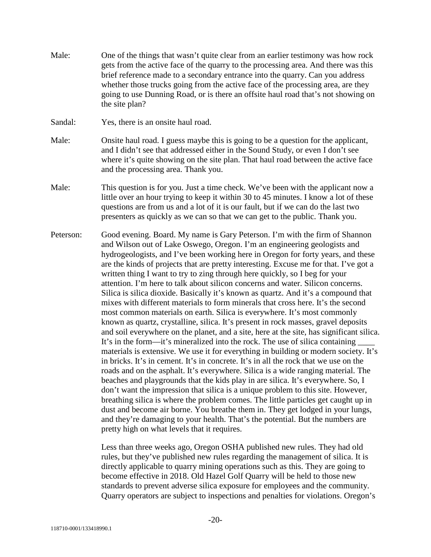- Male: One of the things that wasn't quite clear from an earlier testimony was how rock gets from the active face of the quarry to the processing area. And there was this brief reference made to a secondary entrance into the quarry. Can you address whether those trucks going from the active face of the processing area, are they going to use Dunning Road, or is there an offsite haul road that's not showing on the site plan?
- Sandal: Yes, there is an onsite haul road.
- Male: Onsite haul road. I guess maybe this is going to be a question for the applicant, and I didn't see that addressed either in the Sound Study, or even I don't see where it's quite showing on the site plan. That haul road between the active face and the processing area. Thank you.
- Male: This question is for you. Just a time check. We've been with the applicant now a little over an hour trying to keep it within 30 to 45 minutes. I know a lot of these questions are from us and a lot of it is our fault, but if we can do the last two presenters as quickly as we can so that we can get to the public. Thank you.
- Peterson: Good evening. Board. My name is Gary Peterson. I'm with the firm of Shannon and Wilson out of Lake Oswego, Oregon. I'm an engineering geologists and hydrogeologists, and I've been working here in Oregon for forty years, and these are the kinds of projects that are pretty interesting. Excuse me for that. I've got a written thing I want to try to zing through here quickly, so I beg for your attention. I'm here to talk about silicon concerns and water. Silicon concerns. Silica is silica dioxide. Basically it's known as quartz. And it's a compound that mixes with different materials to form minerals that cross here. It's the second most common materials on earth. Silica is everywhere. It's most commonly known as quartz, crystalline, silica. It's present in rock masses, gravel deposits and soil everywhere on the planet, and a site, here at the site, has significant silica. It's in the form—it's mineralized into the rock. The use of silica containing materials is extensive. We use it for everything in building or modern society. It's in bricks. It's in cement. It's in concrete. It's in all the rock that we use on the roads and on the asphalt. It's everywhere. Silica is a wide ranging material. The beaches and playgrounds that the kids play in are silica. It's everywhere. So, I don't want the impression that silica is a unique problem to this site. However, breathing silica is where the problem comes. The little particles get caught up in dust and become air borne. You breathe them in. They get lodged in your lungs, and they're damaging to your health. That's the potential. But the numbers are pretty high on what levels that it requires.

Less than three weeks ago, Oregon OSHA published new rules. They had old rules, but they've published new rules regarding the management of silica. It is directly applicable to quarry mining operations such as this. They are going to become effective in 2018. Old Hazel Golf Quarry will be held to those new standards to prevent adverse silica exposure for employees and the community. Quarry operators are subject to inspections and penalties for violations. Oregon's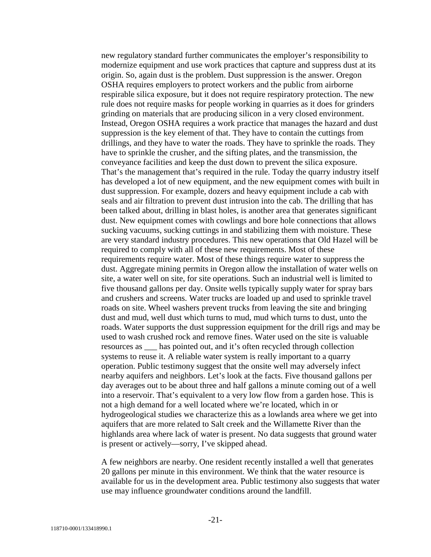new regulatory standard further communicates the employer's responsibility to modernize equipment and use work practices that capture and suppress dust at its origin. So, again dust is the problem. Dust suppression is the answer. Oregon OSHA requires employers to protect workers and the public from airborne respirable silica exposure, but it does not require respiratory protection. The new rule does not require masks for people working in quarries as it does for grinders grinding on materials that are producing silicon in a very closed environment. Instead, Oregon OSHA requires a work practice that manages the hazard and dust suppression is the key element of that. They have to contain the cuttings from drillings, and they have to water the roads. They have to sprinkle the roads. They have to sprinkle the crusher, and the sifting plates, and the transmission, the conveyance facilities and keep the dust down to prevent the silica exposure. That's the management that's required in the rule. Today the quarry industry itself has developed a lot of new equipment, and the new equipment comes with built in dust suppression. For example, dozers and heavy equipment include a cab with seals and air filtration to prevent dust intrusion into the cab. The drilling that has been talked about, drilling in blast holes, is another area that generates significant dust. New equipment comes with cowlings and bore hole connections that allows sucking vacuums, sucking cuttings in and stabilizing them with moisture. These are very standard industry procedures. This new operations that Old Hazel will be required to comply with all of these new requirements. Most of these requirements require water. Most of these things require water to suppress the dust. Aggregate mining permits in Oregon allow the installation of water wells on site, a water well on site, for site operations. Such an industrial well is limited to five thousand gallons per day. Onsite wells typically supply water for spray bars and crushers and screens. Water trucks are loaded up and used to sprinkle travel roads on site. Wheel washers prevent trucks from leaving the site and bringing dust and mud, well dust which turns to mud, mud which turns to dust, unto the roads. Water supports the dust suppression equipment for the drill rigs and may be used to wash crushed rock and remove fines. Water used on the site is valuable resources as \_\_\_ has pointed out, and it's often recycled through collection systems to reuse it. A reliable water system is really important to a quarry operation. Public testimony suggest that the onsite well may adversely infect nearby aquifers and neighbors. Let's look at the facts. Five thousand gallons per day averages out to be about three and half gallons a minute coming out of a well into a reservoir. That's equivalent to a very low flow from a garden hose. This is not a high demand for a well located where we're located, which in or hydrogeological studies we characterize this as a lowlands area where we get into aquifers that are more related to Salt creek and the Willamette River than the highlands area where lack of water is present. No data suggests that ground water is present or actively—sorry, I've skipped ahead.

A few neighbors are nearby. One resident recently installed a well that generates 20 gallons per minute in this environment. We think that the water resource is available for us in the development area. Public testimony also suggests that water use may influence groundwater conditions around the landfill.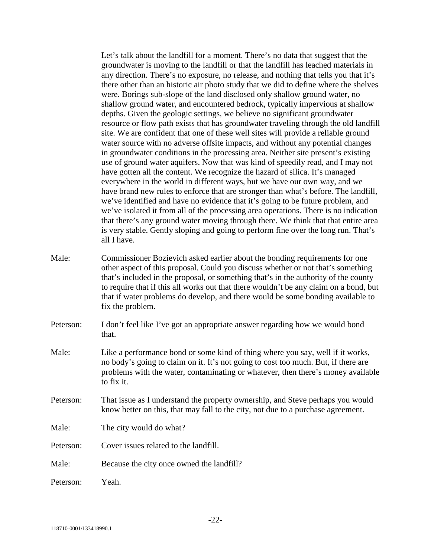Let's talk about the landfill for a moment. There's no data that suggest that the groundwater is moving to the landfill or that the landfill has leached materials in any direction. There's no exposure, no release, and nothing that tells you that it's there other than an historic air photo study that we did to define where the shelves were. Borings sub-slope of the land disclosed only shallow ground water, no shallow ground water, and encountered bedrock, typically impervious at shallow depths. Given the geologic settings, we believe no significant groundwater resource or flow path exists that has groundwater traveling through the old landfill site. We are confident that one of these well sites will provide a reliable ground water source with no adverse offsite impacts, and without any potential changes in groundwater conditions in the processing area. Neither site present's existing use of ground water aquifers. Now that was kind of speedily read, and I may not have gotten all the content. We recognize the hazard of silica. It's managed everywhere in the world in different ways, but we have our own way, and we have brand new rules to enforce that are stronger than what's before. The landfill, we've identified and have no evidence that it's going to be future problem, and we've isolated it from all of the processing area operations. There is no indication that there's any ground water moving through there. We think that that entire area is very stable. Gently sloping and going to perform fine over the long run. That's all I have.

- Male: Commissioner Bozievich asked earlier about the bonding requirements for one other aspect of this proposal. Could you discuss whether or not that's something that's included in the proposal, or something that's in the authority of the county to require that if this all works out that there wouldn't be any claim on a bond, but that if water problems do develop, and there would be some bonding available to fix the problem.
- Peterson: I don't feel like I've got an appropriate answer regarding how we would bond that.
- Male: Like a performance bond or some kind of thing where you say, well if it works, no body's going to claim on it. It's not going to cost too much. But, if there are problems with the water, contaminating or whatever, then there's money available to fix it.
- Peterson: That issue as I understand the property ownership, and Steve perhaps you would know better on this, that may fall to the city, not due to a purchase agreement.
- Male: The city would do what?
- Peterson: Cover issues related to the landfill.
- Male: Because the city once owned the landfill?

Peterson: Yeah.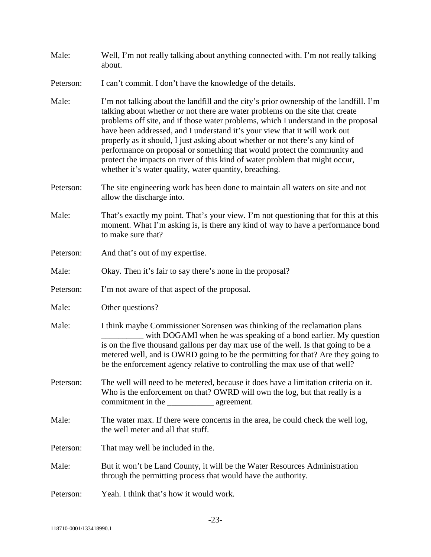| Male:     | Well, I'm not really talking about anything connected with. I'm not really talking<br>about.                                                                                                                                                                                                                                                                                                                                                                                                                                                                                                                                                        |
|-----------|-----------------------------------------------------------------------------------------------------------------------------------------------------------------------------------------------------------------------------------------------------------------------------------------------------------------------------------------------------------------------------------------------------------------------------------------------------------------------------------------------------------------------------------------------------------------------------------------------------------------------------------------------------|
| Peterson: | I can't commit. I don't have the knowledge of the details.                                                                                                                                                                                                                                                                                                                                                                                                                                                                                                                                                                                          |
| Male:     | I'm not talking about the landfill and the city's prior ownership of the landfill. I'm<br>talking about whether or not there are water problems on the site that create<br>problems off site, and if those water problems, which I understand in the proposal<br>have been addressed, and I understand it's your view that it will work out<br>properly as it should, I just asking about whether or not there's any kind of<br>performance on proposal or something that would protect the community and<br>protect the impacts on river of this kind of water problem that might occur,<br>whether it's water quality, water quantity, breaching. |
| Peterson: | The site engineering work has been done to maintain all waters on site and not<br>allow the discharge into.                                                                                                                                                                                                                                                                                                                                                                                                                                                                                                                                         |
| Male:     | That's exactly my point. That's your view. I'm not questioning that for this at this<br>moment. What I'm asking is, is there any kind of way to have a performance bond<br>to make sure that?                                                                                                                                                                                                                                                                                                                                                                                                                                                       |
| Peterson: | And that's out of my expertise.                                                                                                                                                                                                                                                                                                                                                                                                                                                                                                                                                                                                                     |
| Male:     | Okay. Then it's fair to say there's none in the proposal?                                                                                                                                                                                                                                                                                                                                                                                                                                                                                                                                                                                           |
| Peterson: | I'm not aware of that aspect of the proposal.                                                                                                                                                                                                                                                                                                                                                                                                                                                                                                                                                                                                       |
| Male:     | Other questions?                                                                                                                                                                                                                                                                                                                                                                                                                                                                                                                                                                                                                                    |
| Male:     | I think maybe Commissioner Sorensen was thinking of the reclamation plans<br>with DOGAMI when he was speaking of a bond earlier. My question<br>is on the five thousand gallons per day max use of the well. Is that going to be a<br>metered well, and is OWRD going to be the permitting for that? Are they going to<br>be the enforcement agency relative to controlling the max use of that well?                                                                                                                                                                                                                                               |
| Peterson: | The well will need to be metered, because it does have a limitation criteria on it.<br>Who is the enforcement on that? OWRD will own the log, but that really is a                                                                                                                                                                                                                                                                                                                                                                                                                                                                                  |
| Male:     | The water max. If there were concerns in the area, he could check the well log,<br>the well meter and all that stuff.                                                                                                                                                                                                                                                                                                                                                                                                                                                                                                                               |
| Peterson: | That may well be included in the.                                                                                                                                                                                                                                                                                                                                                                                                                                                                                                                                                                                                                   |
| Male:     | But it won't be Land County, it will be the Water Resources Administration<br>through the permitting process that would have the authority.                                                                                                                                                                                                                                                                                                                                                                                                                                                                                                         |
| Peterson: | Yeah. I think that's how it would work.                                                                                                                                                                                                                                                                                                                                                                                                                                                                                                                                                                                                             |
|           |                                                                                                                                                                                                                                                                                                                                                                                                                                                                                                                                                                                                                                                     |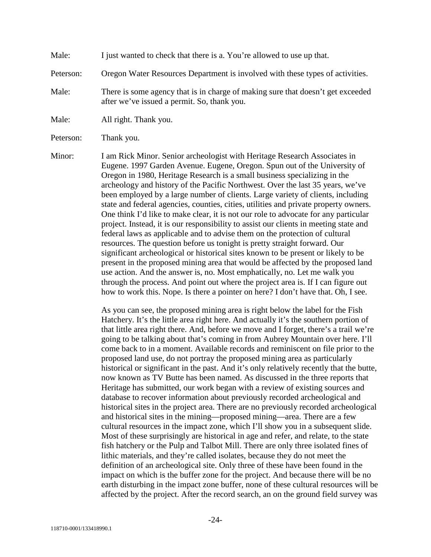Male: I just wanted to check that there is a. You're allowed to use up that.

Peterson: Oregon Water Resources Department is involved with these types of activities.

Male: There is some agency that is in charge of making sure that doesn't get exceeded after we've issued a permit. So, thank you.

Male: All right. Thank you.

Peterson: Thank you.

Minor: I am Rick Minor. Senior archeologist with Heritage Research Associates in Eugene. 1997 Garden Avenue. Eugene, Oregon. Spun out of the University of Oregon in 1980, Heritage Research is a small business specializing in the archeology and history of the Pacific Northwest. Over the last 35 years, we've been employed by a large number of clients. Large variety of clients, including state and federal agencies, counties, cities, utilities and private property owners. One think I'd like to make clear, it is not our role to advocate for any particular project. Instead, it is our responsibility to assist our clients in meeting state and federal laws as applicable and to advise them on the protection of cultural resources. The question before us tonight is pretty straight forward. Our significant archeological or historical sites known to be present or likely to be present in the proposed mining area that would be affected by the proposed land use action. And the answer is, no. Most emphatically, no. Let me walk you through the process. And point out where the project area is. If I can figure out how to work this. Nope. Is there a pointer on here? I don't have that. Oh, I see.

> As you can see, the proposed mining area is right below the label for the Fish Hatchery. It's the little area right here. And actually it's the southern portion of that little area right there. And, before we move and I forget, there's a trail we're going to be talking about that's coming in from Aubrey Mountain over here. I'll come back to in a moment. Available records and reminiscent on file prior to the proposed land use, do not portray the proposed mining area as particularly historical or significant in the past. And it's only relatively recently that the butte, now known as TV Butte has been named. As discussed in the three reports that Heritage has submitted, our work began with a review of existing sources and database to recover information about previously recorded archeological and historical sites in the project area. There are no previously recorded archeological and historical sites in the mining—proposed mining—area. There are a few cultural resources in the impact zone, which I'll show you in a subsequent slide. Most of these surprisingly are historical in age and refer, and relate, to the state fish hatchery or the Pulp and Talbot Mill. There are only three isolated fines of lithic materials, and they're called isolates, because they do not meet the definition of an archeological site. Only three of these have been found in the impact on which is the buffer zone for the project. And because there will be no earth disturbing in the impact zone buffer, none of these cultural resources will be affected by the project. After the record search, an on the ground field survey was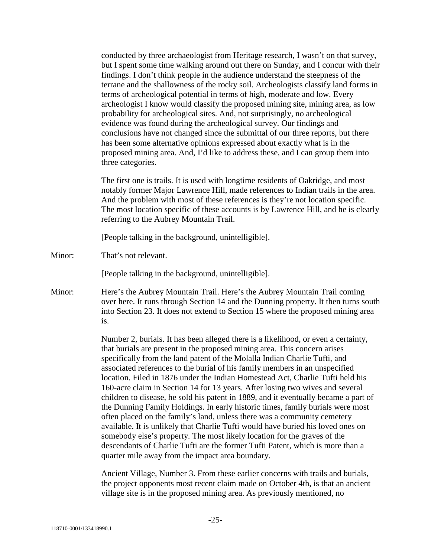conducted by three archaeologist from Heritage research, I wasn't on that survey, but I spent some time walking around out there on Sunday, and I concur with their findings. I don't think people in the audience understand the steepness of the terrane and the shallowness of the rocky soil. Archeologists classify land forms in terms of archeological potential in terms of high, moderate and low. Every archeologist I know would classify the proposed mining site, mining area, as low probability for archeological sites. And, not surprisingly, no archeological evidence was found during the archeological survey. Our findings and conclusions have not changed since the submittal of our three reports, but there has been some alternative opinions expressed about exactly what is in the proposed mining area. And, I'd like to address these, and I can group them into three categories.

The first one is trails. It is used with longtime residents of Oakridge, and most notably former Major Lawrence Hill, made references to Indian trails in the area. And the problem with most of these references is they're not location specific. The most location specific of these accounts is by Lawrence Hill, and he is clearly referring to the Aubrey Mountain Trail.

[People talking in the background, unintelligible].

Minor: That's not relevant.

[People talking in the background, unintelligible].

Minor: Here's the Aubrey Mountain Trail. Here's the Aubrey Mountain Trail coming over here. It runs through Section 14 and the Dunning property. It then turns south into Section 23. It does not extend to Section 15 where the proposed mining area is.

> Number 2, burials. It has been alleged there is a likelihood, or even a certainty, that burials are present in the proposed mining area. This concern arises specifically from the land patent of the Molalla Indian Charlie Tufti, and associated references to the burial of his family members in an unspecified location. Filed in 1876 under the Indian Homestead Act, Charlie Tufti held his 160-acre claim in Section 14 for 13 years. After losing two wives and several children to disease, he sold his patent in 1889, and it eventually became a part of the Dunning Family Holdings. In early historic times, family burials were most often placed on the family's land, unless there was a community cemetery available. It is unlikely that Charlie Tufti would have buried his loved ones on somebody else's property. The most likely location for the graves of the descendants of Charlie Tufti are the former Tufti Patent, which is more than a quarter mile away from the impact area boundary.

Ancient Village, Number 3. From these earlier concerns with trails and burials, the project opponents most recent claim made on October 4th, is that an ancient village site is in the proposed mining area. As previously mentioned, no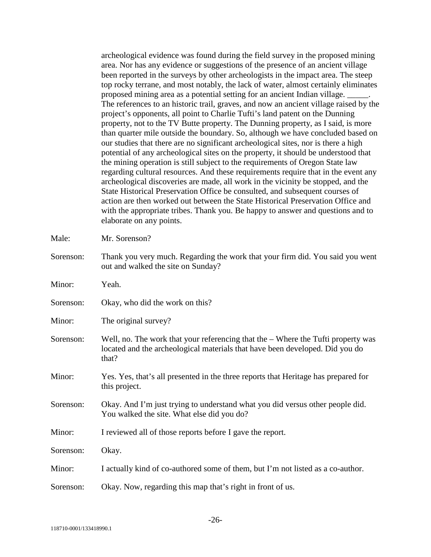archeological evidence was found during the field survey in the proposed mining area. Nor has any evidence or suggestions of the presence of an ancient village been reported in the surveys by other archeologists in the impact area. The steep top rocky terrane, and most notably, the lack of water, almost certainly eliminates proposed mining area as a potential setting for an ancient Indian village. \_\_\_\_\_. The references to an historic trail, graves, and now an ancient village raised by the project's opponents, all point to Charlie Tufti's land patent on the Dunning property, not to the TV Butte property. The Dunning property, as I said, is more than quarter mile outside the boundary. So, although we have concluded based on our studies that there are no significant archeological sites, nor is there a high potential of any archeological sites on the property, it should be understood that the mining operation is still subject to the requirements of Oregon State law regarding cultural resources. And these requirements require that in the event any archeological discoveries are made, all work in the vicinity be stopped, and the State Historical Preservation Office be consulted, and subsequent courses of action are then worked out between the State Historical Preservation Office and with the appropriate tribes. Thank you. Be happy to answer and questions and to elaborate on any points.

| Male:     | Mr. Sorenson?                                                                                                                                                             |
|-----------|---------------------------------------------------------------------------------------------------------------------------------------------------------------------------|
| Sorenson: | Thank you very much. Regarding the work that your firm did. You said you went<br>out and walked the site on Sunday?                                                       |
| Minor:    | Yeah.                                                                                                                                                                     |
| Sorenson: | Okay, who did the work on this?                                                                                                                                           |
| Minor:    | The original survey?                                                                                                                                                      |
| Sorenson: | Well, no. The work that your referencing that the - Where the Tufti property was<br>located and the archeological materials that have been developed. Did you do<br>that? |
| Minor:    | Yes. Yes, that's all presented in the three reports that Heritage has prepared for<br>this project.                                                                       |
| Sorenson: | Okay. And I'm just trying to understand what you did versus other people did.<br>You walked the site. What else did you do?                                               |
| Minor:    | I reviewed all of those reports before I gave the report.                                                                                                                 |
| Sorenson: | Okay.                                                                                                                                                                     |
| Minor:    | I actually kind of co-authored some of them, but I'm not listed as a co-author.                                                                                           |
| Sorenson: | Okay. Now, regarding this map that's right in front of us.                                                                                                                |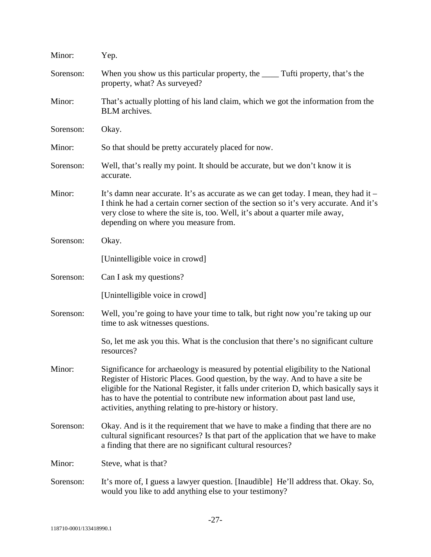| Minor:    | Yep.                                                                                                                                                                                                                                                                                                                                                                                                      |
|-----------|-----------------------------------------------------------------------------------------------------------------------------------------------------------------------------------------------------------------------------------------------------------------------------------------------------------------------------------------------------------------------------------------------------------|
| Sorenson: | When you show us this particular property, the _______ Tufti property, that's the<br>property, what? As surveyed?                                                                                                                                                                                                                                                                                         |
| Minor:    | That's actually plotting of his land claim, which we got the information from the<br>BLM archives.                                                                                                                                                                                                                                                                                                        |
| Sorenson: | Okay.                                                                                                                                                                                                                                                                                                                                                                                                     |
| Minor:    | So that should be pretty accurately placed for now.                                                                                                                                                                                                                                                                                                                                                       |
| Sorenson: | Well, that's really my point. It should be accurate, but we don't know it is<br>accurate.                                                                                                                                                                                                                                                                                                                 |
| Minor:    | It's damn near accurate. It's as accurate as we can get today. I mean, they had it –<br>I think he had a certain corner section of the section so it's very accurate. And it's<br>very close to where the site is, too. Well, it's about a quarter mile away,<br>depending on where you measure from.                                                                                                     |
| Sorenson: | Okay.                                                                                                                                                                                                                                                                                                                                                                                                     |
|           | [Unintelligible voice in crowd]                                                                                                                                                                                                                                                                                                                                                                           |
| Sorenson: | Can I ask my questions?                                                                                                                                                                                                                                                                                                                                                                                   |
|           | [Unintelligible voice in crowd]                                                                                                                                                                                                                                                                                                                                                                           |
| Sorenson: | Well, you're going to have your time to talk, but right now you're taking up our<br>time to ask witnesses questions.                                                                                                                                                                                                                                                                                      |
|           | So, let me ask you this. What is the conclusion that there's no significant culture<br>resources?                                                                                                                                                                                                                                                                                                         |
| Minor:    | Significance for archaeology is measured by potential eligibility to the National<br>Register of Historic Places. Good question, by the way. And to have a site be<br>eligible for the National Register, it falls under criterion D, which basically says it<br>has to have the potential to contribute new information about past land use,<br>activities, anything relating to pre-history or history. |
| Sorenson: | Okay. And is it the requirement that we have to make a finding that there are no<br>cultural significant resources? Is that part of the application that we have to make<br>a finding that there are no significant cultural resources?                                                                                                                                                                   |
| Minor:    | Steve, what is that?                                                                                                                                                                                                                                                                                                                                                                                      |
| Sorenson: | It's more of, I guess a lawyer question. [Inaudible] He'll address that. Okay. So,<br>would you like to add anything else to your testimony?                                                                                                                                                                                                                                                              |
|           |                                                                                                                                                                                                                                                                                                                                                                                                           |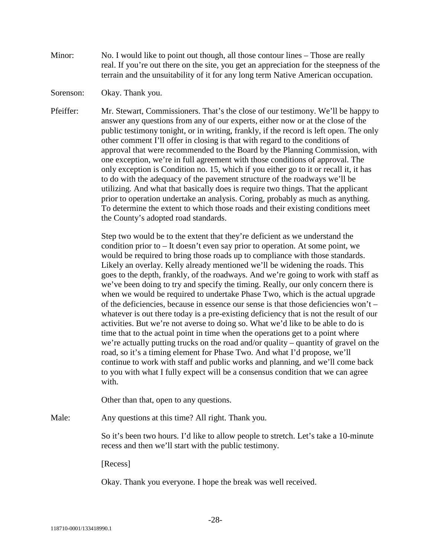- Minor: No. I would like to point out though, all those contour lines Those are really real. If you're out there on the site, you get an appreciation for the steepness of the terrain and the unsuitability of it for any long term Native American occupation.
- Sorenson: Okay. Thank you.
- Pfeiffer: Mr. Stewart, Commissioners. That's the close of our testimony. We'll be happy to answer any questions from any of our experts, either now or at the close of the public testimony tonight, or in writing, frankly, if the record is left open. The only other comment I'll offer in closing is that with regard to the conditions of approval that were recommended to the Board by the Planning Commission, with one exception, we're in full agreement with those conditions of approval. The only exception is Condition no. 15, which if you either go to it or recall it, it has to do with the adequacy of the pavement structure of the roadways we'll be utilizing. And what that basically does is require two things. That the applicant prior to operation undertake an analysis. Coring, probably as much as anything. To determine the extent to which those roads and their existing conditions meet the County's adopted road standards.

Step two would be to the extent that they're deficient as we understand the condition prior to – It doesn't even say prior to operation. At some point, we would be required to bring those roads up to compliance with those standards. Likely an overlay. Kelly already mentioned we'll be widening the roads. This goes to the depth, frankly, of the roadways. And we're going to work with staff as we've been doing to try and specify the timing. Really, our only concern there is when we would be required to undertake Phase Two, which is the actual upgrade of the deficiencies, because in essence our sense is that those deficiencies won't – whatever is out there today is a pre-existing deficiency that is not the result of our activities. But we're not averse to doing so. What we'd like to be able to do is time that to the actual point in time when the operations get to a point where we're actually putting trucks on the road and/or quality – quantity of gravel on the road, so it's a timing element for Phase Two. And what I'd propose, we'll continue to work with staff and public works and planning, and we'll come back to you with what I fully expect will be a consensus condition that we can agree with.

Other than that, open to any questions.

Male: Any questions at this time? All right. Thank you.

So it's been two hours. I'd like to allow people to stretch. Let's take a 10-minute recess and then we'll start with the public testimony.

[Recess]

Okay. Thank you everyone. I hope the break was well received.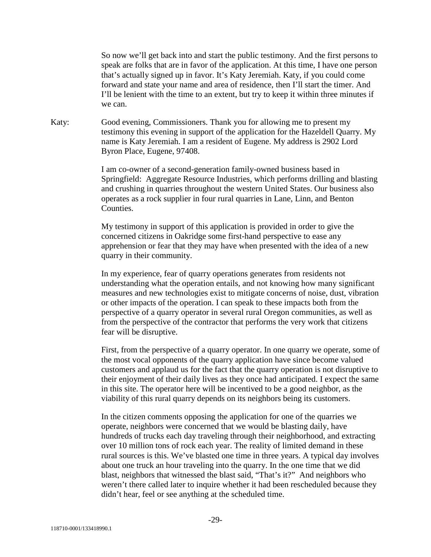So now we'll get back into and start the public testimony. And the first persons to speak are folks that are in favor of the application. At this time, I have one person that's actually signed up in favor. It's Katy Jeremiah. Katy, if you could come forward and state your name and area of residence, then I'll start the timer. And I'll be lenient with the time to an extent, but try to keep it within three minutes if we can.

Katy: Good evening, Commissioners. Thank you for allowing me to present my testimony this evening in support of the application for the Hazeldell Quarry. My name is Katy Jeremiah. I am a resident of Eugene. My address is 2902 Lord Byron Place, Eugene, 97408.

> I am co-owner of a second-generation family-owned business based in Springfield: Aggregate Resource Industries, which performs drilling and blasting and crushing in quarries throughout the western United States. Our business also operates as a rock supplier in four rural quarries in Lane, Linn, and Benton Counties.

My testimony in support of this application is provided in order to give the concerned citizens in Oakridge some first-hand perspective to ease any apprehension or fear that they may have when presented with the idea of a new quarry in their community.

In my experience, fear of quarry operations generates from residents not understanding what the operation entails, and not knowing how many significant measures and new technologies exist to mitigate concerns of noise, dust, vibration or other impacts of the operation. I can speak to these impacts both from the perspective of a quarry operator in several rural Oregon communities, as well as from the perspective of the contractor that performs the very work that citizens fear will be disruptive.

First, from the perspective of a quarry operator. In one quarry we operate, some of the most vocal opponents of the quarry application have since become valued customers and applaud us for the fact that the quarry operation is not disruptive to their enjoyment of their daily lives as they once had anticipated. I expect the same in this site. The operator here will be incentived to be a good neighbor, as the viability of this rural quarry depends on its neighbors being its customers.

In the citizen comments opposing the application for one of the quarries we operate, neighbors were concerned that we would be blasting daily, have hundreds of trucks each day traveling through their neighborhood, and extracting over 10 million tons of rock each year. The reality of limited demand in these rural sources is this. We've blasted one time in three years. A typical day involves about one truck an hour traveling into the quarry. In the one time that we did blast, neighbors that witnessed the blast said, "That's it?" And neighbors who weren't there called later to inquire whether it had been rescheduled because they didn't hear, feel or see anything at the scheduled time.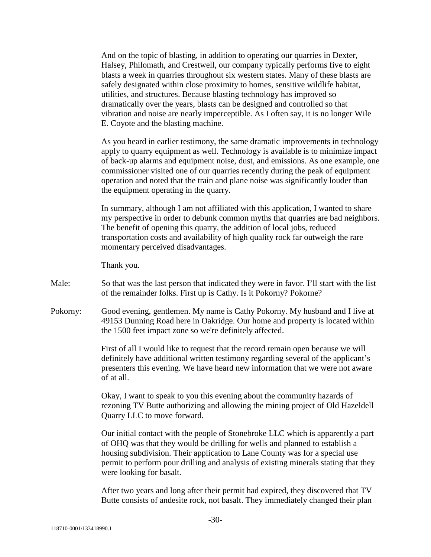And on the topic of blasting, in addition to operating our quarries in Dexter, Halsey, Philomath, and Crestwell, our company typically performs five to eight blasts a week in quarries throughout six western states. Many of these blasts are safely designated within close proximity to homes, sensitive wildlife habitat, utilities, and structures. Because blasting technology has improved so dramatically over the years, blasts can be designed and controlled so that vibration and noise are nearly imperceptible. As I often say, it is no longer Wile E. Coyote and the blasting machine.

As you heard in earlier testimony, the same dramatic improvements in technology apply to quarry equipment as well. Technology is available is to minimize impact of back-up alarms and equipment noise, dust, and emissions. As one example, one commissioner visited one of our quarries recently during the peak of equipment operation and noted that the train and plane noise was significantly louder than the equipment operating in the quarry.

In summary, although I am not affiliated with this application, I wanted to share my perspective in order to debunk common myths that quarries are bad neighbors. The benefit of opening this quarry, the addition of local jobs, reduced transportation costs and availability of high quality rock far outweigh the rare momentary perceived disadvantages.

Thank you.

- Male: So that was the last person that indicated they were in favor. I'll start with the list of the remainder folks. First up is Cathy. Is it Pokorny? Pokorne?
- Pokorny: Good evening, gentlemen. My name is Cathy Pokorny. My husband and I live at 49153 Dunning Road here in Oakridge. Our home and property is located within the 1500 feet impact zone so we're definitely affected.

First of all I would like to request that the record remain open because we will definitely have additional written testimony regarding several of the applicant's presenters this evening. We have heard new information that we were not aware of at all.

Okay, I want to speak to you this evening about the community hazards of rezoning TV Butte authorizing and allowing the mining project of Old Hazeldell Quarry LLC to move forward.

Our initial contact with the people of Stonebroke LLC which is apparently a part of OHQ was that they would be drilling for wells and planned to establish a housing subdivision. Their application to Lane County was for a special use permit to perform pour drilling and analysis of existing minerals stating that they were looking for basalt.

After two years and long after their permit had expired, they discovered that TV Butte consists of andesite rock, not basalt. They immediately changed their plan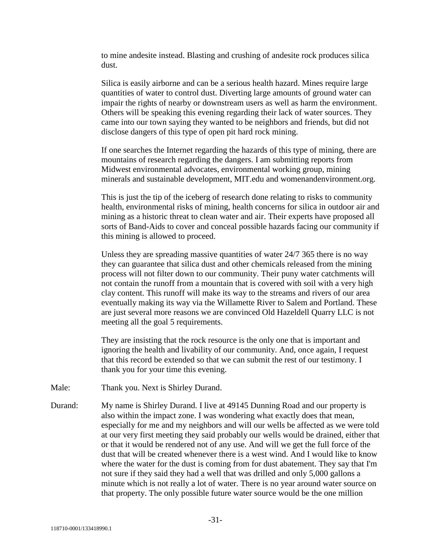to mine andesite instead. Blasting and crushing of andesite rock produces silica dust.

Silica is easily airborne and can be a serious health hazard. Mines require large quantities of water to control dust. Diverting large amounts of ground water can impair the rights of nearby or downstream users as well as harm the environment. Others will be speaking this evening regarding their lack of water sources. They came into our town saying they wanted to be neighbors and friends, but did not disclose dangers of this type of open pit hard rock mining.

If one searches the Internet regarding the hazards of this type of mining, there are mountains of research regarding the dangers. I am submitting reports from Midwest environmental advocates, environmental working group, mining minerals and sustainable development, MIT.edu and womenandenvironment.org.

This is just the tip of the iceberg of research done relating to risks to community health, environmental risks of mining, health concerns for silica in outdoor air and mining as a historic threat to clean water and air. Their experts have proposed all sorts of Band-Aids to cover and conceal possible hazards facing our community if this mining is allowed to proceed.

Unless they are spreading massive quantities of water 24/7 365 there is no way they can guarantee that silica dust and other chemicals released from the mining process will not filter down to our community. Their puny water catchments will not contain the runoff from a mountain that is covered with soil with a very high clay content. This runoff will make its way to the streams and rivers of our area eventually making its way via the Willamette River to Salem and Portland. These are just several more reasons we are convinced Old Hazeldell Quarry LLC is not meeting all the goal 5 requirements.

They are insisting that the rock resource is the only one that is important and ignoring the health and livability of our community. And, once again, I request that this record be extended so that we can submit the rest of our testimony. I thank you for your time this evening.

- Male: Thank you. Next is Shirley Durand.
- Durand: My name is Shirley Durand. I live at 49145 Dunning Road and our property is also within the impact zone. I was wondering what exactly does that mean, especially for me and my neighbors and will our wells be affected as we were told at our very first meeting they said probably our wells would be drained, either that or that it would be rendered not of any use. And will we get the full force of the dust that will be created whenever there is a west wind. And I would like to know where the water for the dust is coming from for dust abatement. They say that I'm not sure if they said they had a well that was drilled and only 5,000 gallons a minute which is not really a lot of water. There is no year around water source on that property. The only possible future water source would be the one million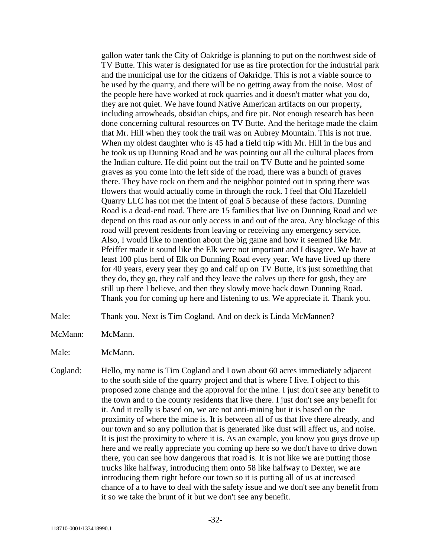gallon water tank the City of Oakridge is planning to put on the northwest side of TV Butte. This water is designated for use as fire protection for the industrial park and the municipal use for the citizens of Oakridge. This is not a viable source to be used by the quarry, and there will be no getting away from the noise. Most of the people here have worked at rock quarries and it doesn't matter what you do, they are not quiet. We have found Native American artifacts on our property, including arrowheads, obsidian chips, and fire pit. Not enough research has been done concerning cultural resources on TV Butte. And the heritage made the claim that Mr. Hill when they took the trail was on Aubrey Mountain. This is not true. When my oldest daughter who is 45 had a field trip with Mr. Hill in the bus and he took us up Dunning Road and he was pointing out all the cultural places from the Indian culture. He did point out the trail on TV Butte and he pointed some graves as you come into the left side of the road, there was a bunch of graves there. They have rock on them and the neighbor pointed out in spring there was flowers that would actually come in through the rock. I feel that Old Hazeldell Quarry LLC has not met the intent of goal 5 because of these factors. Dunning Road is a dead-end road. There are 15 families that live on Dunning Road and we depend on this road as our only access in and out of the area. Any blockage of this road will prevent residents from leaving or receiving any emergency service. Also, I would like to mention about the big game and how it seemed like Mr. Pfeiffer made it sound like the Elk were not important and I disagree. We have at least 100 plus herd of Elk on Dunning Road every year. We have lived up there for 40 years, every year they go and calf up on TV Butte, it's just something that they do, they go, they calf and they leave the calves up there for gosh, they are still up there I believe, and then they slowly move back down Dunning Road. Thank you for coming up here and listening to us. We appreciate it. Thank you.

- Male: Thank you. Next is Tim Cogland. And on deck is Linda McMannen?
- McMann: McMann.
- Male: McMann.

Cogland: Hello, my name is Tim Cogland and I own about 60 acres immediately adjacent to the south side of the quarry project and that is where I live. I object to this proposed zone change and the approval for the mine. I just don't see any benefit to the town and to the county residents that live there. I just don't see any benefit for it. And it really is based on, we are not anti-mining but it is based on the proximity of where the mine is. It is between all of us that live there already, and our town and so any pollution that is generated like dust will affect us, and noise. It is just the proximity to where it is. As an example, you know you guys drove up here and we really appreciate you coming up here so we don't have to drive down there, you can see how dangerous that road is. It is not like we are putting those trucks like halfway, introducing them onto 58 like halfway to Dexter, we are introducing them right before our town so it is putting all of us at increased chance of a to have to deal with the safety issue and we don't see any benefit from it so we take the brunt of it but we don't see any benefit.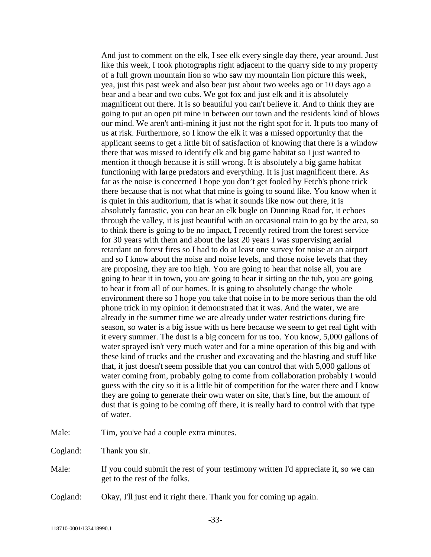And just to comment on the elk, I see elk every single day there, year around. Just like this week, I took photographs right adjacent to the quarry side to my property of a full grown mountain lion so who saw my mountain lion picture this week, yea, just this past week and also bear just about two weeks ago or 10 days ago a bear and a bear and two cubs. We got fox and just elk and it is absolutely magnificent out there. It is so beautiful you can't believe it. And to think they are going to put an open pit mine in between our town and the residents kind of blows our mind. We aren't anti-mining it just not the right spot for it. It puts too many of us at risk. Furthermore, so I know the elk it was a missed opportunity that the applicant seems to get a little bit of satisfaction of knowing that there is a window there that was missed to identify elk and big game habitat so I just wanted to mention it though because it is still wrong. It is absolutely a big game habitat functioning with large predators and everything. It is just magnificent there. As far as the noise is concerned I hope you don't get fooled by Fetch's phone trick there because that is not what that mine is going to sound like. You know when it is quiet in this auditorium, that is what it sounds like now out there, it is absolutely fantastic, you can hear an elk bugle on Dunning Road for, it echoes through the valley, it is just beautiful with an occasional train to go by the area, so to think there is going to be no impact, I recently retired from the forest service for 30 years with them and about the last 20 years I was supervising aerial retardant on forest fires so I had to do at least one survey for noise at an airport and so I know about the noise and noise levels, and those noise levels that they are proposing, they are too high. You are going to hear that noise all, you are going to hear it in town, you are going to hear it sitting on the tub, you are going to hear it from all of our homes. It is going to absolutely change the whole environment there so I hope you take that noise in to be more serious than the old phone trick in my opinion it demonstrated that it was. And the water, we are already in the summer time we are already under water restrictions during fire season, so water is a big issue with us here because we seem to get real tight with it every summer. The dust is a big concern for us too. You know, 5,000 gallons of water sprayed isn't very much water and for a mine operation of this big and with these kind of trucks and the crusher and excavating and the blasting and stuff like that, it just doesn't seem possible that you can control that with 5,000 gallons of water coming from, probably going to come from collaboration probably I would guess with the city so it is a little bit of competition for the water there and I know they are going to generate their own water on site, that's fine, but the amount of dust that is going to be coming off there, it is really hard to control with that type of water.

Male: Tim, you've had a couple extra minutes.

Cogland: Thank you sir.

- Male: If you could submit the rest of your testimony written I'd appreciate it, so we can get to the rest of the folks.
- Cogland: Okay, I'll just end it right there. Thank you for coming up again.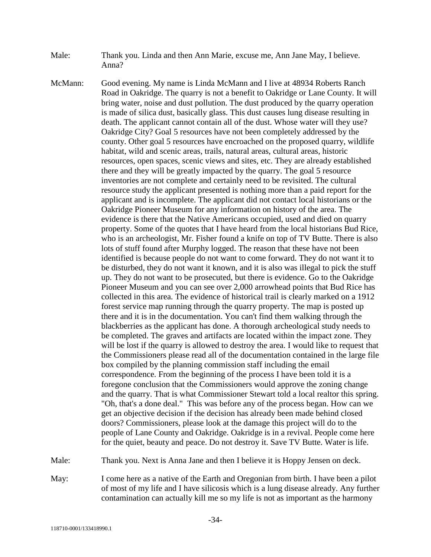- Male: Thank you. Linda and then Ann Marie, excuse me, Ann Jane May, I believe. Anna?
- McMann: Good evening. My name is Linda McMann and I live at 48934 Roberts Ranch Road in Oakridge. The quarry is not a benefit to Oakridge or Lane County. It will bring water, noise and dust pollution. The dust produced by the quarry operation is made of silica dust, basically glass. This dust causes lung disease resulting in death. The applicant cannot contain all of the dust. Whose water will they use? Oakridge City? Goal 5 resources have not been completely addressed by the county. Other goal 5 resources have encroached on the proposed quarry, wildlife habitat, wild and scenic areas, trails, natural areas, cultural areas, historic resources, open spaces, scenic views and sites, etc. They are already established there and they will be greatly impacted by the quarry. The goal 5 resource inventories are not complete and certainly need to be revisited. The cultural resource study the applicant presented is nothing more than a paid report for the applicant and is incomplete. The applicant did not contact local historians or the Oakridge Pioneer Museum for any information on history of the area. The evidence is there that the Native Americans occupied, used and died on quarry property. Some of the quotes that I have heard from the local historians Bud Rice, who is an archeologist, Mr. Fisher found a knife on top of TV Butte. There is also lots of stuff found after Murphy logged. The reason that these have not been identified is because people do not want to come forward. They do not want it to be disturbed, they do not want it known, and it is also was illegal to pick the stuff up. They do not want to be prosecuted, but there is evidence. Go to the Oakridge Pioneer Museum and you can see over 2,000 arrowhead points that Bud Rice has collected in this area. The evidence of historical trail is clearly marked on a 1912 forest service map running through the quarry property. The map is posted up there and it is in the documentation. You can't find them walking through the blackberries as the applicant has done. A thorough archeological study needs to be completed. The graves and artifacts are located within the impact zone. They will be lost if the quarry is allowed to destroy the area. I would like to request that the Commissioners please read all of the documentation contained in the large file box compiled by the planning commission staff including the email correspondence. From the beginning of the process I have been told it is a foregone conclusion that the Commissioners would approve the zoning change and the quarry. That is what Commissioner Stewart told a local realtor this spring. "Oh, that's a done deal." This was before any of the process began. How can we get an objective decision if the decision has already been made behind closed doors? Commissioners, please look at the damage this project will do to the people of Lane County and Oakridge. Oakridge is in a revival. People come here for the quiet, beauty and peace. Do not destroy it. Save TV Butte. Water is life.

Male: Thank you. Next is Anna Jane and then I believe it is Hoppy Jensen on deck.

May: I come here as a native of the Earth and Oregonian from birth. I have been a pilot of most of my life and I have silicosis which is a lung disease already. Any further contamination can actually kill me so my life is not as important as the harmony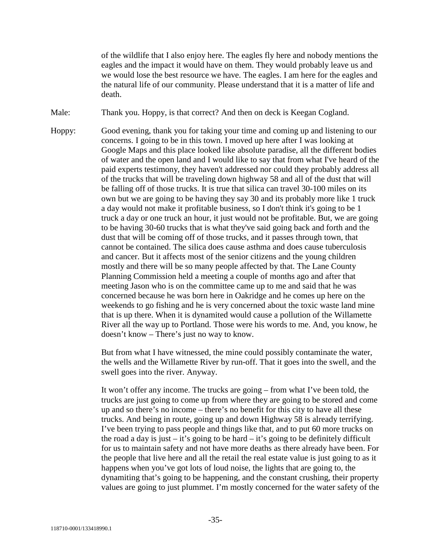of the wildlife that I also enjoy here. The eagles fly here and nobody mentions the eagles and the impact it would have on them. They would probably leave us and we would lose the best resource we have. The eagles. I am here for the eagles and the natural life of our community. Please understand that it is a matter of life and death.

Male: Thank you. Hoppy, is that correct? And then on deck is Keegan Cogland.

Hoppy: Good evening, thank you for taking your time and coming up and listening to our concerns. I going to be in this town. I moved up here after I was looking at Google Maps and this place looked like absolute paradise, all the different bodies of water and the open land and I would like to say that from what I've heard of the paid experts testimony, they haven't addressed nor could they probably address all of the trucks that will be traveling down highway 58 and all of the dust that will be falling off of those trucks. It is true that silica can travel 30-100 miles on its own but we are going to be having they say 30 and its probably more like 1 truck a day would not make it profitable business, so I don't think it's going to be 1 truck a day or one truck an hour, it just would not be profitable. But, we are going to be having 30-60 trucks that is what they've said going back and forth and the dust that will be coming off of those trucks, and it passes through town, that cannot be contained. The silica does cause asthma and does cause tuberculosis and cancer. But it affects most of the senior citizens and the young children mostly and there will be so many people affected by that. The Lane County Planning Commission held a meeting a couple of months ago and after that meeting Jason who is on the committee came up to me and said that he was concerned because he was born here in Oakridge and he comes up here on the weekends to go fishing and he is very concerned about the toxic waste land mine that is up there. When it is dynamited would cause a pollution of the Willamette River all the way up to Portland. Those were his words to me. And, you know, he doesn't know – There's just no way to know.

> But from what I have witnessed, the mine could possibly contaminate the water, the wells and the Willamette River by run-off. That it goes into the swell, and the swell goes into the river. Anyway.

> It won't offer any income. The trucks are going – from what I've been told, the trucks are just going to come up from where they are going to be stored and come up and so there's no income – there's no benefit for this city to have all these trucks. And being in route, going up and down Highway 58 is already terrifying. I've been trying to pass people and things like that, and to put 60 more trucks on the road a day is just – it's going to be hard – it's going to be definitely difficult for us to maintain safety and not have more deaths as there already have been. For the people that live here and all the retail the real estate value is just going to as it happens when you've got lots of loud noise, the lights that are going to, the dynamiting that's going to be happening, and the constant crushing, their property values are going to just plummet. I'm mostly concerned for the water safety of the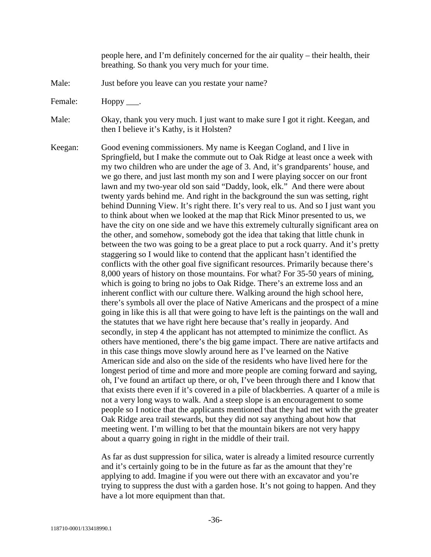people here, and I'm definitely concerned for the air quality – their health, their breathing. So thank you very much for your time.

- Male: Just before you leave can you restate your name?
- Female: Hoppy \_\_\_\_.

Male: Okay, thank you very much. I just want to make sure I got it right. Keegan, and then I believe it's Kathy, is it Holsten?

Keegan: Good evening commissioners. My name is Keegan Cogland, and I live in Springfield, but I make the commute out to Oak Ridge at least once a week with my two children who are under the age of 3. And, it's grandparents' house, and we go there, and just last month my son and I were playing soccer on our front lawn and my two-year old son said "Daddy, look, elk." And there were about twenty yards behind me. And right in the background the sun was setting, right behind Dunning View. It's right there. It's very real to us. And so I just want you to think about when we looked at the map that Rick Minor presented to us, we have the city on one side and we have this extremely culturally significant area on the other, and somehow, somebody got the idea that taking that little chunk in between the two was going to be a great place to put a rock quarry. And it's pretty staggering so I would like to contend that the applicant hasn't identified the conflicts with the other goal five significant resources. Primarily because there's 8,000 years of history on those mountains. For what? For 35-50 years of mining, which is going to bring no jobs to Oak Ridge. There's an extreme loss and an inherent conflict with our culture there. Walking around the high school here, there's symbols all over the place of Native Americans and the prospect of a mine going in like this is all that were going to have left is the paintings on the wall and the statutes that we have right here because that's really in jeopardy. And secondly, in step 4 the applicant has not attempted to minimize the conflict. As others have mentioned, there's the big game impact. There are native artifacts and in this case things move slowly around here as I've learned on the Native American side and also on the side of the residents who have lived here for the longest period of time and more and more people are coming forward and saying, oh, I've found an artifact up there, or oh, I've been through there and I know that that exists there even if it's covered in a pile of blackberries. A quarter of a mile is not a very long ways to walk. And a steep slope is an encouragement to some people so I notice that the applicants mentioned that they had met with the greater Oak Ridge area trail stewards, but they did not say anything about how that meeting went. I'm willing to bet that the mountain bikers are not very happy about a quarry going in right in the middle of their trail.

> As far as dust suppression for silica, water is already a limited resource currently and it's certainly going to be in the future as far as the amount that they're applying to add. Imagine if you were out there with an excavator and you're trying to suppress the dust with a garden hose. It's not going to happen. And they have a lot more equipment than that.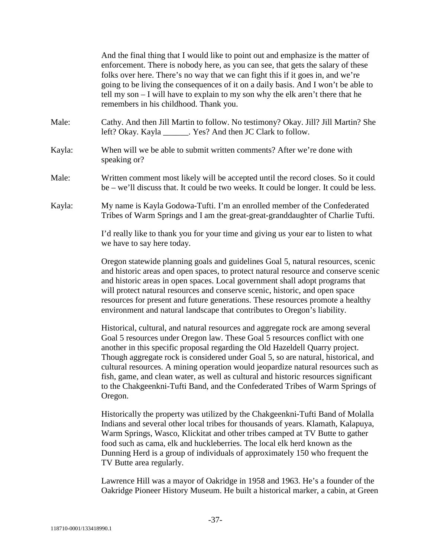|        | And the final thing that I would like to point out and emphasize is the matter of<br>enforcement. There is nobody here, as you can see, that gets the salary of these<br>folks over here. There's no way that we can fight this if it goes in, and we're<br>going to be living the consequences of it on a daily basis. And I won't be able to<br>tell my son - I will have to explain to my son why the elk aren't there that he<br>remembers in his childhood. Thank you.                                                                                                                                   |
|--------|---------------------------------------------------------------------------------------------------------------------------------------------------------------------------------------------------------------------------------------------------------------------------------------------------------------------------------------------------------------------------------------------------------------------------------------------------------------------------------------------------------------------------------------------------------------------------------------------------------------|
| Male:  | Cathy. And then Jill Martin to follow. No testimony? Okay. Jill? Jill Martin? She<br>left? Okay. Kayla ______. Yes? And then JC Clark to follow.                                                                                                                                                                                                                                                                                                                                                                                                                                                              |
| Kayla: | When will we be able to submit written comments? After we're done with<br>speaking or?                                                                                                                                                                                                                                                                                                                                                                                                                                                                                                                        |
| Male:  | Written comment most likely will be accepted until the record closes. So it could<br>be – we'll discuss that. It could be two weeks. It could be longer. It could be less.                                                                                                                                                                                                                                                                                                                                                                                                                                    |
| Kayla: | My name is Kayla Godowa-Tufti. I'm an enrolled member of the Confederated<br>Tribes of Warm Springs and I am the great-great-granddaughter of Charlie Tufti.                                                                                                                                                                                                                                                                                                                                                                                                                                                  |
|        | I'd really like to thank you for your time and giving us your ear to listen to what<br>we have to say here today.                                                                                                                                                                                                                                                                                                                                                                                                                                                                                             |
|        | Oregon statewide planning goals and guidelines Goal 5, natural resources, scenic<br>and historic areas and open spaces, to protect natural resource and conserve scenic<br>and historic areas in open spaces. Local government shall adopt programs that<br>will protect natural resources and conserve scenic, historic, and open space<br>resources for present and future generations. These resources promote a healthy<br>environment and natural landscape that contributes to Oregon's liability.                                                                                                      |
|        | Historical, cultural, and natural resources and aggregate rock are among several<br>Goal 5 resources under Oregon law. These Goal 5 resources conflict with one<br>another in this specific proposal regarding the Old Hazeldell Quarry project.<br>Though aggregate rock is considered under Goal 5, so are natural, historical, and<br>cultural resources. A mining operation would jeopardize natural resources such as<br>fish, game, and clean water, as well as cultural and historic resources significant<br>to the Chakgeenkni-Tufti Band, and the Confederated Tribes of Warm Springs of<br>Oregon. |
|        | Historically the property was utilized by the Chakgeenkni-Tufti Band of Molalla<br>Indians and several other local tribes for thousands of years. Klamath, Kalapuya,<br>Warm Springs, Wasco, Klickitat and other tribes camped at TV Butte to gather<br>food such as cama, elk and huckleberries. The local elk herd known as the<br>Dunning Herd is a group of individuals of approximately 150 who frequent the<br>TV Butte area regularly.                                                                                                                                                                 |
|        | Lawrence Hill was a mayor of Oakridge in 1958 and 1963. He's a founder of the                                                                                                                                                                                                                                                                                                                                                                                                                                                                                                                                 |

Lawrence Hill was a mayor of Oakridge in 1958 and 1963. He's a founder of the Oakridge Pioneer History Museum. He built a historical marker, a cabin, at Green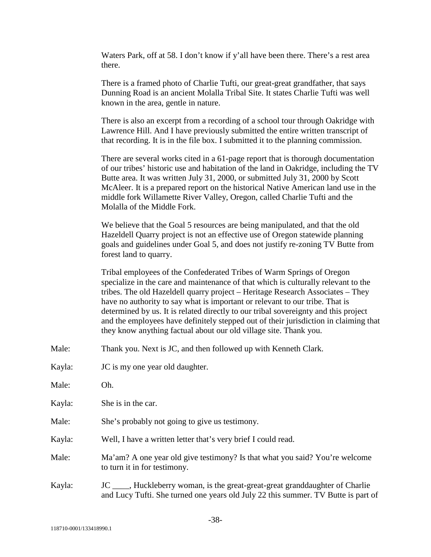Waters Park, off at 58. I don't know if y'all have been there. There's a rest area there.

There is a framed photo of Charlie Tufti, our great-great grandfather, that says Dunning Road is an ancient Molalla Tribal Site. It states Charlie Tufti was well known in the area, gentle in nature.

There is also an excerpt from a recording of a school tour through Oakridge with Lawrence Hill. And I have previously submitted the entire written transcript of that recording. It is in the file box. I submitted it to the planning commission.

There are several works cited in a 61-page report that is thorough documentation of our tribes' historic use and habitation of the land in Oakridge, including the TV Butte area. It was written July 31, 2000, or submitted July 31, 2000 by Scott McAleer. It is a prepared report on the historical Native American land use in the middle fork Willamette River Valley, Oregon, called Charlie Tufti and the Molalla of the Middle Fork.

We believe that the Goal 5 resources are being manipulated, and that the old Hazeldell Quarry project is not an effective use of Oregon statewide planning goals and guidelines under Goal 5, and does not justify re-zoning TV Butte from forest land to quarry.

Tribal employees of the Confederated Tribes of Warm Springs of Oregon specialize in the care and maintenance of that which is culturally relevant to the tribes. The old Hazeldell quarry project – Heritage Research Associates – They have no authority to say what is important or relevant to our tribe. That is determined by us. It is related directly to our tribal sovereignty and this project and the employees have definitely stepped out of their jurisdiction in claiming that they know anything factual about our old village site. Thank you.

- Male: Thank you. Next is JC, and then followed up with Kenneth Clark.
- Kayla: **JC** is my one year old daughter.
- Male: Oh.

Kayla: She is in the car.

- Male: She's probably not going to give us testimony.
- Kayla: Well, I have a written letter that's very brief I could read.

Male: Ma'am? A one year old give testimony? Is that what you said? You're welcome to turn it in for testimony.

Kayla: JC \_\_\_\_, Huckleberry woman, is the great-great-great granddaughter of Charlie and Lucy Tufti. She turned one years old July 22 this summer. TV Butte is part of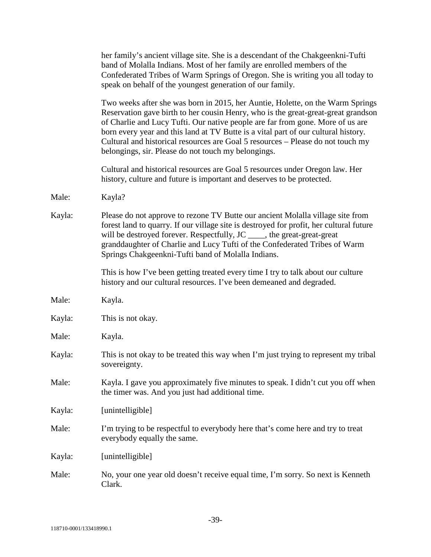|        | her family's ancient village site. She is a descendant of the Chakgeenkni-Tufti<br>band of Molalla Indians. Most of her family are enrolled members of the<br>Confederated Tribes of Warm Springs of Oregon. She is writing you all today to<br>speak on behalf of the youngest generation of our family.                                                                                                                                                                             |
|--------|---------------------------------------------------------------------------------------------------------------------------------------------------------------------------------------------------------------------------------------------------------------------------------------------------------------------------------------------------------------------------------------------------------------------------------------------------------------------------------------|
|        | Two weeks after she was born in 2015, her Auntie, Holette, on the Warm Springs<br>Reservation gave birth to her cousin Henry, who is the great-great-great grandson<br>of Charlie and Lucy Tufti. Our native people are far from gone. More of us are<br>born every year and this land at TV Butte is a vital part of our cultural history.<br>Cultural and historical resources are Goal 5 resources - Please do not touch my<br>belongings, sir. Please do not touch my belongings. |
|        | Cultural and historical resources are Goal 5 resources under Oregon law. Her<br>history, culture and future is important and deserves to be protected.                                                                                                                                                                                                                                                                                                                                |
| Male:  | Kayla?                                                                                                                                                                                                                                                                                                                                                                                                                                                                                |
| Kayla: | Please do not approve to rezone TV Butte our ancient Molalla village site from<br>forest land to quarry. If our village site is destroyed for profit, her cultural future<br>will be destroyed forever. Respectfully, JC _____, the great-great-great<br>granddaughter of Charlie and Lucy Tufti of the Confederated Tribes of Warm<br>Springs Chakgeenkni-Tufti band of Molalla Indians.                                                                                             |
|        | This is how I've been getting treated every time I try to talk about our culture<br>history and our cultural resources. I've been demeaned and degraded.                                                                                                                                                                                                                                                                                                                              |
| Male:  | Kayla.                                                                                                                                                                                                                                                                                                                                                                                                                                                                                |
| Kayla: | This is not okay.                                                                                                                                                                                                                                                                                                                                                                                                                                                                     |
| Male:  | Kayla.                                                                                                                                                                                                                                                                                                                                                                                                                                                                                |
| Kayla: | This is not okay to be treated this way when I'm just trying to represent my tribal<br>sovereignty.                                                                                                                                                                                                                                                                                                                                                                                   |
| Male:  | Kayla. I gave you approximately five minutes to speak. I didn't cut you off when<br>the timer was. And you just had additional time.                                                                                                                                                                                                                                                                                                                                                  |
| Kayla: | [unintelligible]                                                                                                                                                                                                                                                                                                                                                                                                                                                                      |
| Male:  | I'm trying to be respectful to everybody here that's come here and try to treat<br>everybody equally the same.                                                                                                                                                                                                                                                                                                                                                                        |
| Kayla: | [unintelligible]                                                                                                                                                                                                                                                                                                                                                                                                                                                                      |
| Male:  | No, your one year old doesn't receive equal time, I'm sorry. So next is Kenneth<br>Clark.                                                                                                                                                                                                                                                                                                                                                                                             |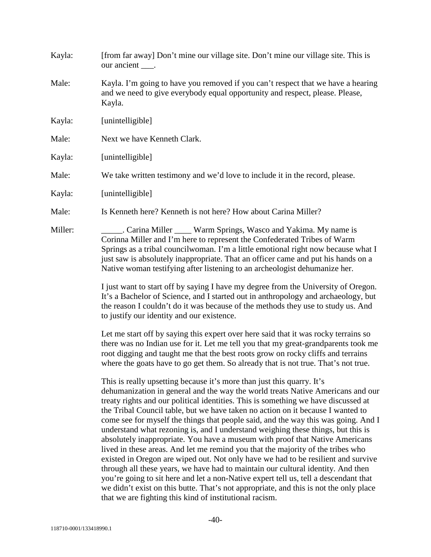| Kayla:  | [from far away] Don't mine our village site. Don't mine our village site. This is<br>our ancient ____.                                                                                                                                                                                                                                                                                                                                                                                                                                                                                                                                                                                                                                                                                                                                                                                                                                                                                                                                                                                               |
|---------|------------------------------------------------------------------------------------------------------------------------------------------------------------------------------------------------------------------------------------------------------------------------------------------------------------------------------------------------------------------------------------------------------------------------------------------------------------------------------------------------------------------------------------------------------------------------------------------------------------------------------------------------------------------------------------------------------------------------------------------------------------------------------------------------------------------------------------------------------------------------------------------------------------------------------------------------------------------------------------------------------------------------------------------------------------------------------------------------------|
| Male:   | Kayla. I'm going to have you removed if you can't respect that we have a hearing<br>and we need to give everybody equal opportunity and respect, please. Please,<br>Kayla.                                                                                                                                                                                                                                                                                                                                                                                                                                                                                                                                                                                                                                                                                                                                                                                                                                                                                                                           |
| Kayla:  | [unintelligible]                                                                                                                                                                                                                                                                                                                                                                                                                                                                                                                                                                                                                                                                                                                                                                                                                                                                                                                                                                                                                                                                                     |
| Male:   | Next we have Kenneth Clark.                                                                                                                                                                                                                                                                                                                                                                                                                                                                                                                                                                                                                                                                                                                                                                                                                                                                                                                                                                                                                                                                          |
| Kayla:  | [unintelligible]                                                                                                                                                                                                                                                                                                                                                                                                                                                                                                                                                                                                                                                                                                                                                                                                                                                                                                                                                                                                                                                                                     |
| Male:   | We take written testimony and we'd love to include it in the record, please.                                                                                                                                                                                                                                                                                                                                                                                                                                                                                                                                                                                                                                                                                                                                                                                                                                                                                                                                                                                                                         |
| Kayla:  | [unintelligible]                                                                                                                                                                                                                                                                                                                                                                                                                                                                                                                                                                                                                                                                                                                                                                                                                                                                                                                                                                                                                                                                                     |
| Male:   | Is Kenneth here? Kenneth is not here? How about Carina Miller?                                                                                                                                                                                                                                                                                                                                                                                                                                                                                                                                                                                                                                                                                                                                                                                                                                                                                                                                                                                                                                       |
| Miller: | Carina Miller ____ Warm Springs, Wasco and Yakima. My name is<br>Corinna Miller and I'm here to represent the Confederated Tribes of Warm<br>Springs as a tribal councilwoman. I'm a little emotional right now because what I<br>just saw is absolutely inappropriate. That an officer came and put his hands on a<br>Native woman testifying after listening to an archeologist dehumanize her.                                                                                                                                                                                                                                                                                                                                                                                                                                                                                                                                                                                                                                                                                                    |
|         | I just want to start off by saying I have my degree from the University of Oregon.<br>It's a Bachelor of Science, and I started out in anthropology and archaeology, but<br>the reason I couldn't do it was because of the methods they use to study us. And<br>to justify our identity and our existence.                                                                                                                                                                                                                                                                                                                                                                                                                                                                                                                                                                                                                                                                                                                                                                                           |
|         | Let me start off by saying this expert over here said that it was rocky terrains so<br>there was no Indian use for it. Let me tell you that my great-grandparents took me<br>root digging and taught me that the best roots grow on rocky cliffs and terrains<br>where the goats have to go get them. So already that is not true. That's not true.                                                                                                                                                                                                                                                                                                                                                                                                                                                                                                                                                                                                                                                                                                                                                  |
|         | This is really upsetting because it's more than just this quarry. It's<br>dehumanization in general and the way the world treats Native Americans and our<br>treaty rights and our political identities. This is something we have discussed at<br>the Tribal Council table, but we have taken no action on it because I wanted to<br>come see for myself the things that people said, and the way this was going. And I<br>understand what rezoning is, and I understand weighing these things, but this is<br>absolutely inappropriate. You have a museum with proof that Native Americans<br>lived in these areas. And let me remind you that the majority of the tribes who<br>existed in Oregon are wiped out. Not only have we had to be resilient and survive<br>through all these years, we have had to maintain our cultural identity. And then<br>you're going to sit here and let a non-Native expert tell us, tell a descendant that<br>we didn't exist on this butte. That's not appropriate, and this is not the only place<br>that we are fighting this kind of institutional racism. |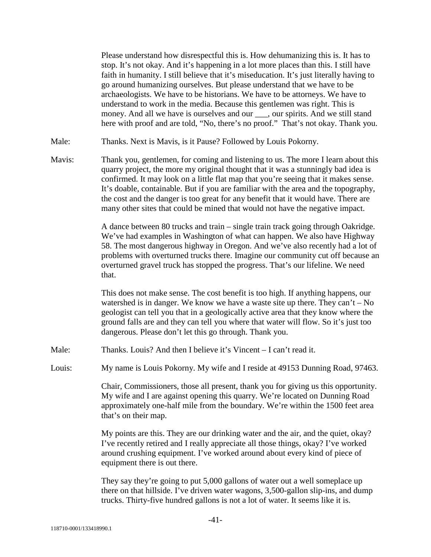Please understand how disrespectful this is. How dehumanizing this is. It has to stop. It's not okay. And it's happening in a lot more places than this. I still have faith in humanity. I still believe that it's miseducation. It's just literally having to go around humanizing ourselves. But please understand that we have to be archaeologists. We have to be historians. We have to be attorneys. We have to understand to work in the media. Because this gentlemen was right. This is money. And all we have is ourselves and our \_\_\_, our spirits. And we still stand here with proof and are told, "No, there's no proof." That's not okay. Thank you.

- Male: Thanks. Next is Mavis, is it Pause? Followed by Louis Pokorny.
- Mavis: Thank you, gentlemen, for coming and listening to us. The more I learn about this quarry project, the more my original thought that it was a stunningly bad idea is confirmed. It may look on a little flat map that you're seeing that it makes sense. It's doable, containable. But if you are familiar with the area and the topography, the cost and the danger is too great for any benefit that it would have. There are many other sites that could be mined that would not have the negative impact.

A dance between 80 trucks and train – single train track going through Oakridge. We've had examples in Washington of what can happen. We also have Highway 58. The most dangerous highway in Oregon. And we've also recently had a lot of problems with overturned trucks there. Imagine our community cut off because an overturned gravel truck has stopped the progress. That's our lifeline. We need that.

This does not make sense. The cost benefit is too high. If anything happens, our watershed is in danger. We know we have a waste site up there. They can't  $-$  No geologist can tell you that in a geologically active area that they know where the ground falls are and they can tell you where that water will flow. So it's just too dangerous. Please don't let this go through. Thank you.

- Male: Thanks. Louis? And then I believe it's Vincent I can't read it.
- Louis: My name is Louis Pokorny. My wife and I reside at 49153 Dunning Road, 97463.

Chair, Commissioners, those all present, thank you for giving us this opportunity. My wife and I are against opening this quarry. We're located on Dunning Road approximately one-half mile from the boundary. We're within the 1500 feet area that's on their map.

My points are this. They are our drinking water and the air, and the quiet, okay? I've recently retired and I really appreciate all those things, okay? I've worked around crushing equipment. I've worked around about every kind of piece of equipment there is out there.

They say they're going to put 5,000 gallons of water out a well someplace up there on that hillside. I've driven water wagons, 3,500-gallon slip-ins, and dump trucks. Thirty-five hundred gallons is not a lot of water. It seems like it is.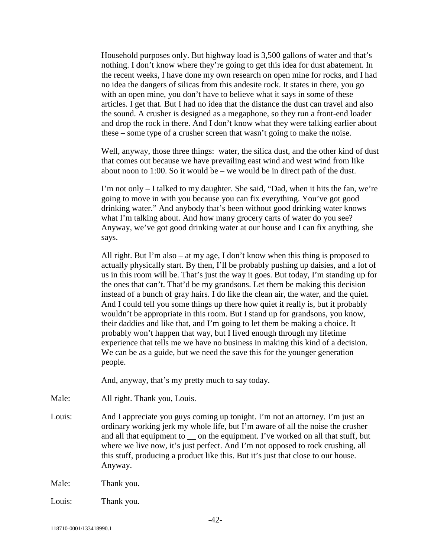Household purposes only. But highway load is 3,500 gallons of water and that's nothing. I don't know where they're going to get this idea for dust abatement. In the recent weeks, I have done my own research on open mine for rocks, and I had no idea the dangers of silicas from this andesite rock. It states in there, you go with an open mine, you don't have to believe what it says in some of these articles. I get that. But I had no idea that the distance the dust can travel and also the sound. A crusher is designed as a megaphone, so they run a front-end loader and drop the rock in there. And I don't know what they were talking earlier about these – some type of a crusher screen that wasn't going to make the noise.

Well, anyway, those three things: water, the silica dust, and the other kind of dust that comes out because we have prevailing east wind and west wind from like about noon to 1:00. So it would be – we would be in direct path of the dust.

I'm not only – I talked to my daughter. She said, "Dad, when it hits the fan, we're going to move in with you because you can fix everything. You've got good drinking water." And anybody that's been without good drinking water knows what I'm talking about. And how many grocery carts of water do you see? Anyway, we've got good drinking water at our house and I can fix anything, she says.

All right. But I'm also – at my age, I don't know when this thing is proposed to actually physically start. By then, I'll be probably pushing up daisies, and a lot of us in this room will be. That's just the way it goes. But today, I'm standing up for the ones that can't. That'd be my grandsons. Let them be making this decision instead of a bunch of gray hairs. I do like the clean air, the water, and the quiet. And I could tell you some things up there how quiet it really is, but it probably wouldn't be appropriate in this room. But I stand up for grandsons, you know, their daddies and like that, and I'm going to let them be making a choice. It probably won't happen that way, but I lived enough through my lifetime experience that tells me we have no business in making this kind of a decision. We can be as a guide, but we need the save this for the younger generation people.

And, anyway, that's my pretty much to say today.

Male: All right. Thank you, Louis.

Louis: And I appreciate you guys coming up tonight. I'm not an attorney. I'm just an ordinary working jerk my whole life, but I'm aware of all the noise the crusher and all that equipment to  $\equiv$  on the equipment. I've worked on all that stuff, but where we live now, it's just perfect. And I'm not opposed to rock crushing, all this stuff, producing a product like this. But it's just that close to our house. Anyway.

Male: Thank you.

Louis: Thank you.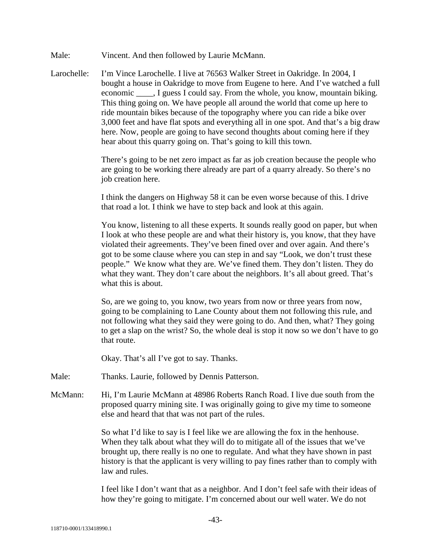- Male: Vincent. And then followed by Laurie McMann.
- Larochelle: I'm Vince Larochelle. I live at 76563 Walker Street in Oakridge. In 2004, I bought a house in Oakridge to move from Eugene to here. And I've watched a full economic \_\_\_\_, I guess I could say. From the whole, you know, mountain biking. This thing going on. We have people all around the world that come up here to ride mountain bikes because of the topography where you can ride a bike over 3,000 feet and have flat spots and everything all in one spot. And that's a big draw here. Now, people are going to have second thoughts about coming here if they hear about this quarry going on. That's going to kill this town.

There's going to be net zero impact as far as job creation because the people who are going to be working there already are part of a quarry already. So there's no job creation here.

I think the dangers on Highway 58 it can be even worse because of this. I drive that road a lot. I think we have to step back and look at this again.

You know, listening to all these experts. It sounds really good on paper, but when I look at who these people are and what their history is, you know, that they have violated their agreements. They've been fined over and over again. And there's got to be some clause where you can step in and say "Look, we don't trust these people." We know what they are. We've fined them. They don't listen. They do what they want. They don't care about the neighbors. It's all about greed. That's what this is about.

So, are we going to, you know, two years from now or three years from now, going to be complaining to Lane County about them not following this rule, and not following what they said they were going to do. And then, what? They going to get a slap on the wrist? So, the whole deal is stop it now so we don't have to go that route.

Okay. That's all I've got to say. Thanks.

- Male: Thanks. Laurie, followed by Dennis Patterson.
- McMann: Hi, I'm Laurie McMann at 48986 Roberts Ranch Road. I live due south from the proposed quarry mining site. I was originally going to give my time to someone else and heard that that was not part of the rules.

So what I'd like to say is I feel like we are allowing the fox in the henhouse. When they talk about what they will do to mitigate all of the issues that we've brought up, there really is no one to regulate. And what they have shown in past history is that the applicant is very willing to pay fines rather than to comply with law and rules.

I feel like I don't want that as a neighbor. And I don't feel safe with their ideas of how they're going to mitigate. I'm concerned about our well water. We do not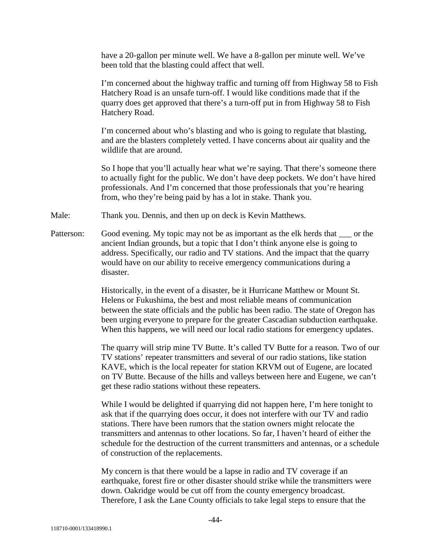have a 20-gallon per minute well. We have a 8-gallon per minute well. We've been told that the blasting could affect that well.

I'm concerned about the highway traffic and turning off from Highway 58 to Fish Hatchery Road is an unsafe turn-off. I would like conditions made that if the quarry does get approved that there's a turn-off put in from Highway 58 to Fish Hatchery Road.

I'm concerned about who's blasting and who is going to regulate that blasting, and are the blasters completely vetted. I have concerns about air quality and the wildlife that are around.

So I hope that you'll actually hear what we're saying. That there's someone there to actually fight for the public. We don't have deep pockets. We don't have hired professionals. And I'm concerned that those professionals that you're hearing from, who they're being paid by has a lot in stake. Thank you.

Male: Thank you. Dennis, and then up on deck is Kevin Matthews.

Patterson: Good evening. My topic may not be as important as the elk herds that or the ancient Indian grounds, but a topic that I don't think anyone else is going to address. Specifically, our radio and TV stations. And the impact that the quarry would have on our ability to receive emergency communications during a disaster.

> Historically, in the event of a disaster, be it Hurricane Matthew or Mount St. Helens or Fukushima, the best and most reliable means of communication between the state officials and the public has been radio. The state of Oregon has been urging everyone to prepare for the greater Cascadian subduction earthquake. When this happens, we will need our local radio stations for emergency updates.

> The quarry will strip mine TV Butte. It's called TV Butte for a reason. Two of our TV stations' repeater transmitters and several of our radio stations, like station KAVE, which is the local repeater for station KRVM out of Eugene, are located on TV Butte. Because of the hills and valleys between here and Eugene, we can't get these radio stations without these repeaters.

> While I would be delighted if quarrying did not happen here, I'm here tonight to ask that if the quarrying does occur, it does not interfere with our TV and radio stations. There have been rumors that the station owners might relocate the transmitters and antennas to other locations. So far, I haven't heard of either the schedule for the destruction of the current transmitters and antennas, or a schedule of construction of the replacements.

My concern is that there would be a lapse in radio and TV coverage if an earthquake, forest fire or other disaster should strike while the transmitters were down. Oakridge would be cut off from the county emergency broadcast. Therefore, I ask the Lane County officials to take legal steps to ensure that the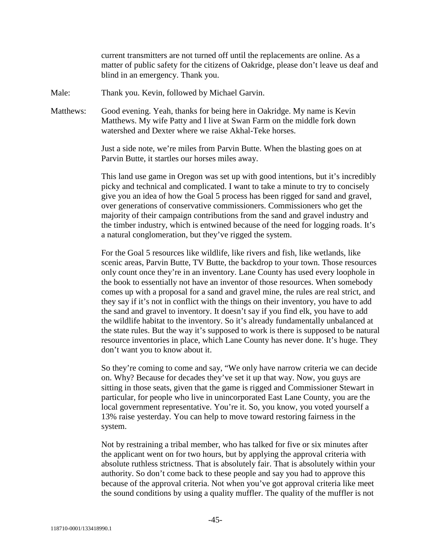current transmitters are not turned off until the replacements are online. As a matter of public safety for the citizens of Oakridge, please don't leave us deaf and blind in an emergency. Thank you.

Male: Thank you. Kevin, followed by Michael Garvin.

Matthews: Good evening. Yeah, thanks for being here in Oakridge. My name is Kevin Matthews. My wife Patty and I live at Swan Farm on the middle fork down watershed and Dexter where we raise Akhal-Teke horses.

> Just a side note, we're miles from Parvin Butte. When the blasting goes on at Parvin Butte, it startles our horses miles away.

This land use game in Oregon was set up with good intentions, but it's incredibly picky and technical and complicated. I want to take a minute to try to concisely give you an idea of how the Goal 5 process has been rigged for sand and gravel, over generations of conservative commissioners. Commissioners who get the majority of their campaign contributions from the sand and gravel industry and the timber industry, which is entwined because of the need for logging roads. It's a natural conglomeration, but they've rigged the system.

For the Goal 5 resources like wildlife, like rivers and fish, like wetlands, like scenic areas, Parvin Butte, TV Butte, the backdrop to your town. Those resources only count once they're in an inventory. Lane County has used every loophole in the book to essentially not have an inventor of those resources. When somebody comes up with a proposal for a sand and gravel mine, the rules are real strict, and they say if it's not in conflict with the things on their inventory, you have to add the sand and gravel to inventory. It doesn't say if you find elk, you have to add the wildlife habitat to the inventory. So it's already fundamentally unbalanced at the state rules. But the way it's supposed to work is there is supposed to be natural resource inventories in place, which Lane County has never done. It's huge. They don't want you to know about it.

So they're coming to come and say, "We only have narrow criteria we can decide on. Why? Because for decades they've set it up that way. Now, you guys are sitting in those seats, given that the game is rigged and Commissioner Stewart in particular, for people who live in unincorporated East Lane County, you are the local government representative. You're it. So, you know, you voted yourself a 13% raise yesterday. You can help to move toward restoring fairness in the system.

Not by restraining a tribal member, who has talked for five or six minutes after the applicant went on for two hours, but by applying the approval criteria with absolute ruthless strictness. That is absolutely fair. That is absolutely within your authority. So don't come back to these people and say you had to approve this because of the approval criteria. Not when you've got approval criteria like meet the sound conditions by using a quality muffler. The quality of the muffler is not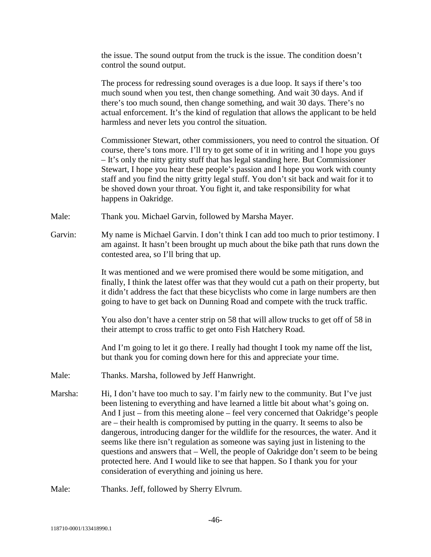the issue. The sound output from the truck is the issue. The condition doesn't control the sound output.

The process for redressing sound overages is a due loop. It says if there's too much sound when you test, then change something. And wait 30 days. And if there's too much sound, then change something, and wait 30 days. There's no actual enforcement. It's the kind of regulation that allows the applicant to be held harmless and never lets you control the situation.

Commissioner Stewart, other commissioners, you need to control the situation. Of course, there's tons more. I'll try to get some of it in writing and I hope you guys – It's only the nitty gritty stuff that has legal standing here. But Commissioner Stewart, I hope you hear these people's passion and I hope you work with county staff and you find the nitty gritty legal stuff. You don't sit back and wait for it to be shoved down your throat. You fight it, and take responsibility for what happens in Oakridge.

- Male: Thank you. Michael Garvin, followed by Marsha Mayer.
- Garvin: My name is Michael Garvin. I don't think I can add too much to prior testimony. I am against. It hasn't been brought up much about the bike path that runs down the contested area, so I'll bring that up.

It was mentioned and we were promised there would be some mitigation, and finally, I think the latest offer was that they would cut a path on their property, but it didn't address the fact that these bicyclists who come in large numbers are then going to have to get back on Dunning Road and compete with the truck traffic.

You also don't have a center strip on 58 that will allow trucks to get off of 58 in their attempt to cross traffic to get onto Fish Hatchery Road.

And I'm going to let it go there. I really had thought I took my name off the list, but thank you for coming down here for this and appreciate your time.

- Male: Thanks. Marsha, followed by Jeff Hanwright.
- Marsha: Hi, I don't have too much to say. I'm fairly new to the community. But I've just been listening to everything and have learned a little bit about what's going on. And I just – from this meeting alone – feel very concerned that Oakridge's people are – their health is compromised by putting in the quarry. It seems to also be dangerous, introducing danger for the wildlife for the resources, the water. And it seems like there isn't regulation as someone was saying just in listening to the questions and answers that – Well, the people of Oakridge don't seem to be being protected here. And I would like to see that happen. So I thank you for your consideration of everything and joining us here.
- Male: Thanks. Jeff, followed by Sherry Elvrum.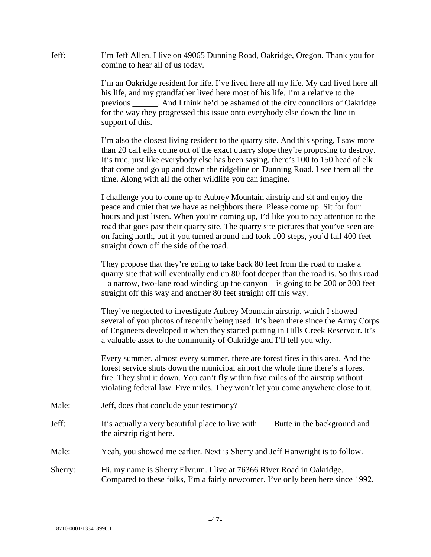Jeff: I'm Jeff Allen. I live on 49065 Dunning Road, Oakridge, Oregon. Thank you for coming to hear all of us today.

> I'm an Oakridge resident for life. I've lived here all my life. My dad lived here all his life, and my grandfather lived here most of his life. I'm a relative to the previous \_\_\_\_\_\_. And I think he'd be ashamed of the city councilors of Oakridge for the way they progressed this issue onto everybody else down the line in support of this.

> I'm also the closest living resident to the quarry site. And this spring, I saw more than 20 calf elks come out of the exact quarry slope they're proposing to destroy. It's true, just like everybody else has been saying, there's 100 to 150 head of elk that come and go up and down the ridgeline on Dunning Road. I see them all the time. Along with all the other wildlife you can imagine.

> I challenge you to come up to Aubrey Mountain airstrip and sit and enjoy the peace and quiet that we have as neighbors there. Please come up. Sit for four hours and just listen. When you're coming up, I'd like you to pay attention to the road that goes past their quarry site. The quarry site pictures that you've seen are on facing north, but if you turned around and took 100 steps, you'd fall 400 feet straight down off the side of the road.

They propose that they're going to take back 80 feet from the road to make a quarry site that will eventually end up 80 foot deeper than the road is. So this road – a narrow, two-lane road winding up the canyon – is going to be 200 or 300 feet straight off this way and another 80 feet straight off this way.

They've neglected to investigate Aubrey Mountain airstrip, which I showed several of you photos of recently being used. It's been there since the Army Corps of Engineers developed it when they started putting in Hills Creek Reservoir. It's a valuable asset to the community of Oakridge and I'll tell you why.

Every summer, almost every summer, there are forest fires in this area. And the forest service shuts down the municipal airport the whole time there's a forest fire. They shut it down. You can't fly within five miles of the airstrip without violating federal law. Five miles. They won't let you come anywhere close to it.

- Male: Jeff, does that conclude your testimony?
- Jeff: It's actually a very beautiful place to live with \_\_\_ Butte in the background and the airstrip right here.
- Male: Yeah, you showed me earlier. Next is Sherry and Jeff Hanwright is to follow.
- Sherry: Hi, my name is Sherry Elvrum. I live at 76366 River Road in Oakridge. Compared to these folks, I'm a fairly newcomer. I've only been here since 1992.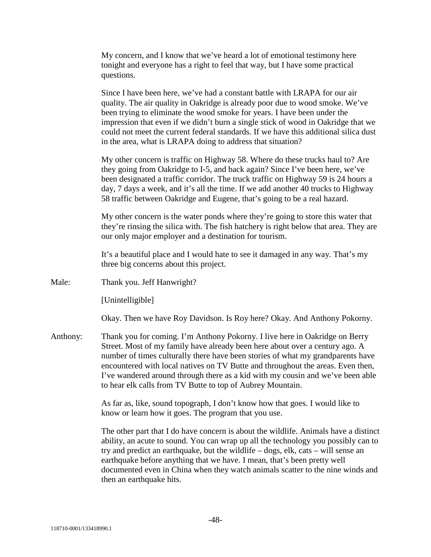My concern, and I know that we've heard a lot of emotional testimony here tonight and everyone has a right to feel that way, but I have some practical questions.

Since I have been here, we've had a constant battle with LRAPA for our air quality. The air quality in Oakridge is already poor due to wood smoke. We've been trying to eliminate the wood smoke for years. I have been under the impression that even if we didn't burn a single stick of wood in Oakridge that we could not meet the current federal standards. If we have this additional silica dust in the area, what is LRAPA doing to address that situation?

My other concern is traffic on Highway 58. Where do these trucks haul to? Are they going from Oakridge to I-5, and back again? Since I've been here, we've been designated a traffic corridor. The truck traffic on Highway 59 is 24 hours a day, 7 days a week, and it's all the time. If we add another 40 trucks to Highway 58 traffic between Oakridge and Eugene, that's going to be a real hazard.

My other concern is the water ponds where they're going to store this water that they're rinsing the silica with. The fish hatchery is right below that area. They are our only major employer and a destination for tourism.

It's a beautiful place and I would hate to see it damaged in any way. That's my three big concerns about this project.

Male: Thank you. Jeff Hanwright?

[Unintelligible]

Okay. Then we have Roy Davidson. Is Roy here? Okay. And Anthony Pokorny.

Anthony: Thank you for coming. I'm Anthony Pokorny. I live here in Oakridge on Berry Street. Most of my family have already been here about over a century ago. A number of times culturally there have been stories of what my grandparents have encountered with local natives on TV Butte and throughout the areas. Even then, I've wandered around through there as a kid with my cousin and we've been able to hear elk calls from TV Butte to top of Aubrey Mountain.

> As far as, like, sound topograph, I don't know how that goes. I would like to know or learn how it goes. The program that you use.

The other part that I do have concern is about the wildlife. Animals have a distinct ability, an acute to sound. You can wrap up all the technology you possibly can to try and predict an earthquake, but the wildlife – dogs, elk, cats – will sense an earthquake before anything that we have. I mean, that's been pretty well documented even in China when they watch animals scatter to the nine winds and then an earthquake hits.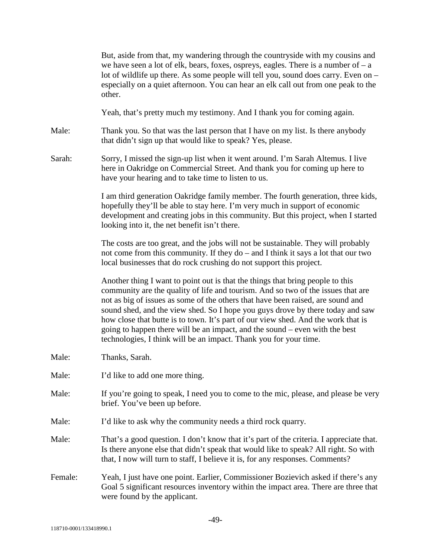|         | But, aside from that, my wandering through the countryside with my cousins and<br>we have seen a lot of elk, bears, foxes, ospreys, eagles. There is a number of $-a$<br>lot of wildlife up there. As some people will tell you, sound does carry. Even on -<br>especially on a quiet afternoon. You can hear an elk call out from one peak to the<br>other.                                                                                                                                                                                                                     |
|---------|----------------------------------------------------------------------------------------------------------------------------------------------------------------------------------------------------------------------------------------------------------------------------------------------------------------------------------------------------------------------------------------------------------------------------------------------------------------------------------------------------------------------------------------------------------------------------------|
|         | Yeah, that's pretty much my testimony. And I thank you for coming again.                                                                                                                                                                                                                                                                                                                                                                                                                                                                                                         |
| Male:   | Thank you. So that was the last person that I have on my list. Is there anybody<br>that didn't sign up that would like to speak? Yes, please.                                                                                                                                                                                                                                                                                                                                                                                                                                    |
| Sarah:  | Sorry, I missed the sign-up list when it went around. I'm Sarah Altemus. I live<br>here in Oakridge on Commercial Street. And thank you for coming up here to<br>have your hearing and to take time to listen to us.                                                                                                                                                                                                                                                                                                                                                             |
|         | I am third generation Oakridge family member. The fourth generation, three kids,<br>hopefully they'll be able to stay here. I'm very much in support of economic<br>development and creating jobs in this community. But this project, when I started<br>looking into it, the net benefit isn't there.                                                                                                                                                                                                                                                                           |
|         | The costs are too great, and the jobs will not be sustainable. They will probably<br>not come from this community. If they do – and I think it says a lot that our two<br>local businesses that do rock crushing do not support this project.                                                                                                                                                                                                                                                                                                                                    |
|         | Another thing I want to point out is that the things that bring people to this<br>community are the quality of life and tourism. And so two of the issues that are<br>not as big of issues as some of the others that have been raised, are sound and<br>sound shed, and the view shed. So I hope you guys drove by there today and saw<br>how close that butte is to town. It's part of our view shed. And the work that is<br>going to happen there will be an impact, and the sound - even with the best<br>technologies, I think will be an impact. Thank you for your time. |
| Male:   | Thanks, Sarah.                                                                                                                                                                                                                                                                                                                                                                                                                                                                                                                                                                   |
| Male:   | I'd like to add one more thing.                                                                                                                                                                                                                                                                                                                                                                                                                                                                                                                                                  |
| Male:   | If you're going to speak, I need you to come to the mic, please, and please be very<br>brief. You've been up before.                                                                                                                                                                                                                                                                                                                                                                                                                                                             |
| Male:   | I'd like to ask why the community needs a third rock quarry.                                                                                                                                                                                                                                                                                                                                                                                                                                                                                                                     |
| Male:   | That's a good question. I don't know that it's part of the criteria. I appreciate that.<br>Is there anyone else that didn't speak that would like to speak? All right. So with<br>that, I now will turn to staff, I believe it is, for any responses. Comments?                                                                                                                                                                                                                                                                                                                  |
| Female: | Yeah, I just have one point. Earlier, Commissioner Bozievich asked if there's any<br>Goal 5 significant resources inventory within the impact area. There are three that<br>were found by the applicant.                                                                                                                                                                                                                                                                                                                                                                         |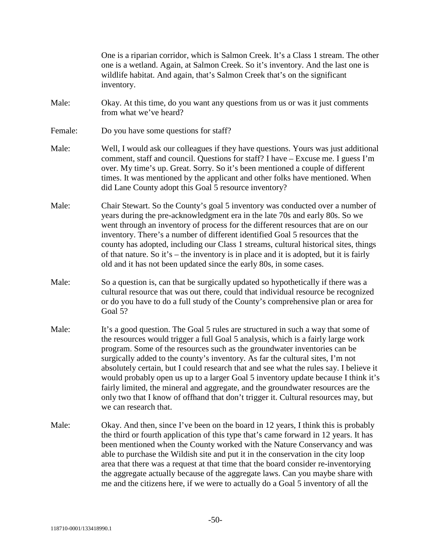|         | One is a riparian corridor, which is Salmon Creek. It's a Class 1 stream. The other<br>one is a wetland. Again, at Salmon Creek. So it's inventory. And the last one is<br>wildlife habitat. And again, that's Salmon Creek that's on the significant<br>inventory.                                                                                                                                                                                                                                                                                                                                                                                                                                                    |
|---------|------------------------------------------------------------------------------------------------------------------------------------------------------------------------------------------------------------------------------------------------------------------------------------------------------------------------------------------------------------------------------------------------------------------------------------------------------------------------------------------------------------------------------------------------------------------------------------------------------------------------------------------------------------------------------------------------------------------------|
| Male:   | Okay. At this time, do you want any questions from us or was it just comments<br>from what we've heard?                                                                                                                                                                                                                                                                                                                                                                                                                                                                                                                                                                                                                |
| Female: | Do you have some questions for staff?                                                                                                                                                                                                                                                                                                                                                                                                                                                                                                                                                                                                                                                                                  |
| Male:   | Well, I would ask our colleagues if they have questions. Yours was just additional<br>comment, staff and council. Questions for staff? I have – Excuse me. I guess I'm<br>over. My time's up. Great. Sorry. So it's been mentioned a couple of different<br>times. It was mentioned by the applicant and other folks have mentioned. When<br>did Lane County adopt this Goal 5 resource inventory?                                                                                                                                                                                                                                                                                                                     |
| Male:   | Chair Stewart. So the County's goal 5 inventory was conducted over a number of<br>years during the pre-acknowledgment era in the late 70s and early 80s. So we<br>went through an inventory of process for the different resources that are on our<br>inventory. There's a number of different identified Goal 5 resources that the<br>county has adopted, including our Class 1 streams, cultural historical sites, things<br>of that nature. So it's – the inventory is in place and it is adopted, but it is fairly<br>old and it has not been updated since the early 80s, in some cases.                                                                                                                          |
| Male:   | So a question is, can that be surgically updated so hypothetically if there was a<br>cultural resource that was out there, could that individual resource be recognized<br>or do you have to do a full study of the County's comprehensive plan or area for<br>Goal 5?                                                                                                                                                                                                                                                                                                                                                                                                                                                 |
| Male:   | It's a good question. The Goal 5 rules are structured in such a way that some of<br>the resources would trigger a full Goal 5 analysis, which is a fairly large work<br>program. Some of the resources such as the groundwater inventories can be<br>surgically added to the county's inventory. As far the cultural sites, I'm not<br>absolutely certain, but I could research that and see what the rules say. I believe it<br>would probably open us up to a larger Goal 5 inventory update because I think it's<br>fairly limited, the mineral and aggregate, and the groundwater resources are the<br>only two that I know of offhand that don't trigger it. Cultural resources may, but<br>we can research that. |
| Male:   | Okay. And then, since I've been on the board in 12 years, I think this is probably<br>the third or fourth application of this type that's came forward in 12 years. It has<br>been mentioned when the County worked with the Nature Conservancy and was<br>able to purchase the Wildish site and put it in the conservation in the city loop<br>area that there was a request at that time that the board consider re-inventorying<br>the aggregate actually because of the aggregate laws. Can you maybe share with<br>me and the citizens here, if we were to actually do a Goal 5 inventory of all the                                                                                                              |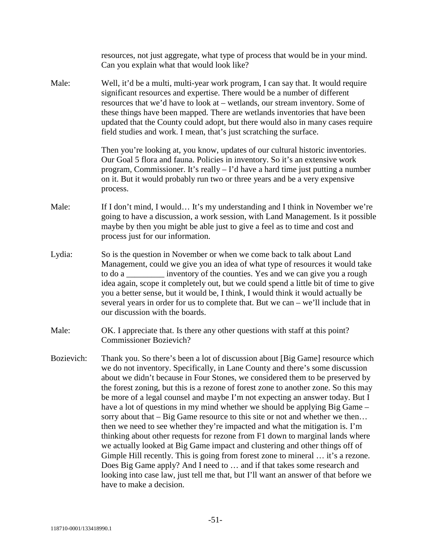|            | resources, not just aggregate, what type of process that would be in your mind.<br>Can you explain what that would look like?                                                                                                                                                                                                                                                                                                                                                                                                                                                                                                                                                                                                                                                                                                                                                                                                                                                                                                                                                                                             |
|------------|---------------------------------------------------------------------------------------------------------------------------------------------------------------------------------------------------------------------------------------------------------------------------------------------------------------------------------------------------------------------------------------------------------------------------------------------------------------------------------------------------------------------------------------------------------------------------------------------------------------------------------------------------------------------------------------------------------------------------------------------------------------------------------------------------------------------------------------------------------------------------------------------------------------------------------------------------------------------------------------------------------------------------------------------------------------------------------------------------------------------------|
| Male:      | Well, it'd be a multi, multi-year work program, I can say that. It would require<br>significant resources and expertise. There would be a number of different<br>resources that we'd have to look at - wetlands, our stream inventory. Some of<br>these things have been mapped. There are wetlands inventories that have been<br>updated that the County could adopt, but there would also in many cases require<br>field studies and work. I mean, that's just scratching the surface.                                                                                                                                                                                                                                                                                                                                                                                                                                                                                                                                                                                                                                  |
|            | Then you're looking at, you know, updates of our cultural historic inventories.<br>Our Goal 5 flora and fauna. Policies in inventory. So it's an extensive work<br>program, Commissioner. It's really – I'd have a hard time just putting a number<br>on it. But it would probably run two or three years and be a very expensive<br>process.                                                                                                                                                                                                                                                                                                                                                                                                                                                                                                                                                                                                                                                                                                                                                                             |
| Male:      | If I don't mind, I would It's my understanding and I think in November we're<br>going to have a discussion, a work session, with Land Management. Is it possible<br>maybe by then you might be able just to give a feel as to time and cost and<br>process just for our information.                                                                                                                                                                                                                                                                                                                                                                                                                                                                                                                                                                                                                                                                                                                                                                                                                                      |
| Lydia:     | So is the question in November or when we come back to talk about Land<br>Management, could we give you an idea of what type of resources it would take<br>to do a ________ inventory of the counties. Yes and we can give you a rough<br>idea again, scope it completely out, but we could spend a little bit of time to give<br>you a better sense, but it would be, I think, I would think it would actually be<br>several years in order for us to complete that. But we can $-$ we'll include that in<br>our discussion with the boards.                                                                                                                                                                                                                                                                                                                                                                                                                                                                                                                                                                             |
| Male:      | OK. I appreciate that. Is there any other questions with staff at this point?<br><b>Commissioner Bozievich?</b>                                                                                                                                                                                                                                                                                                                                                                                                                                                                                                                                                                                                                                                                                                                                                                                                                                                                                                                                                                                                           |
| Bozievich: | Thank you. So there's been a lot of discussion about [Big Game] resource which<br>we do not inventory. Specifically, in Lane County and there's some discussion<br>about we didn't because in Four Stones, we considered them to be preserved by<br>the forest zoning, but this is a rezone of forest zone to another zone. So this may<br>be more of a legal counsel and maybe I'm not expecting an answer today. But I<br>have a lot of questions in my mind whether we should be applying Big Game –<br>sorry about that – Big Game resource to this site or not and whether we then<br>then we need to see whether they're impacted and what the mitigation is. I'm<br>thinking about other requests for rezone from F1 down to marginal lands where<br>we actually looked at Big Game impact and clustering and other things off of<br>Gimple Hill recently. This is going from forest zone to mineral  it's a rezone.<br>Does Big Game apply? And I need to  and if that takes some research and<br>looking into case law, just tell me that, but I'll want an answer of that before we<br>have to make a decision. |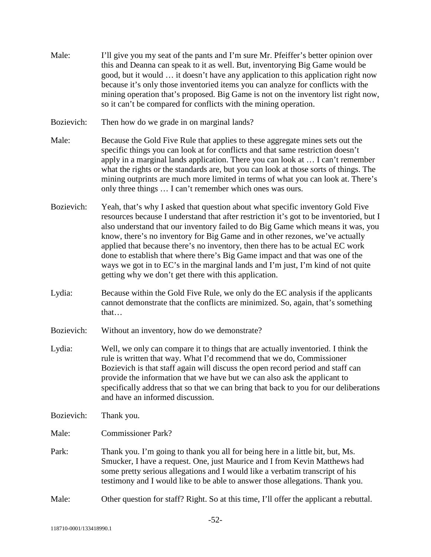- Male: I'll give you my seat of the pants and I'm sure Mr. Pfeiffer's better opinion over this and Deanna can speak to it as well. But, inventorying Big Game would be good, but it would … it doesn't have any application to this application right now because it's only those inventoried items you can analyze for conflicts with the mining operation that's proposed. Big Game is not on the inventory list right now, so it can't be compared for conflicts with the mining operation.
- Bozievich: Then how do we grade in on marginal lands?
- Male: Because the Gold Five Rule that applies to these aggregate mines sets out the specific things you can look at for conflicts and that same restriction doesn't apply in a marginal lands application. There you can look at … I can't remember what the rights or the standards are, but you can look at those sorts of things. The mining outprints are much more limited in terms of what you can look at. There's only three things … I can't remember which ones was ours.
- Bozievich: Yeah, that's why I asked that question about what specific inventory Gold Five resources because I understand that after restriction it's got to be inventoried, but I also understand that our inventory failed to do Big Game which means it was, you know, there's no inventory for Big Game and in other rezones, we've actually applied that because there's no inventory, then there has to be actual EC work done to establish that where there's Big Game impact and that was one of the ways we got in to EC's in the marginal lands and I'm just, I'm kind of not quite getting why we don't get there with this application.
- Lydia: Because within the Gold Five Rule, we only do the EC analysis if the applicants cannot demonstrate that the conflicts are minimized. So, again, that's something that…
- Bozievich: Without an inventory, how do we demonstrate?
- Lydia: Well, we only can compare it to things that are actually inventoried. I think the rule is written that way. What I'd recommend that we do, Commissioner Bozievich is that staff again will discuss the open record period and staff can provide the information that we have but we can also ask the applicant to specifically address that so that we can bring that back to you for our deliberations and have an informed discussion.
- Bozievich: Thank you.

Male: Commissioner Park?

- Park: Thank you. I'm going to thank you all for being here in a little bit, but, Ms. Smucker, I have a request. One, just Maurice and I from Kevin Matthews had some pretty serious allegations and I would like a verbatim transcript of his testimony and I would like to be able to answer those allegations. Thank you.
- Male: Other question for staff? Right. So at this time, I'll offer the applicant a rebuttal.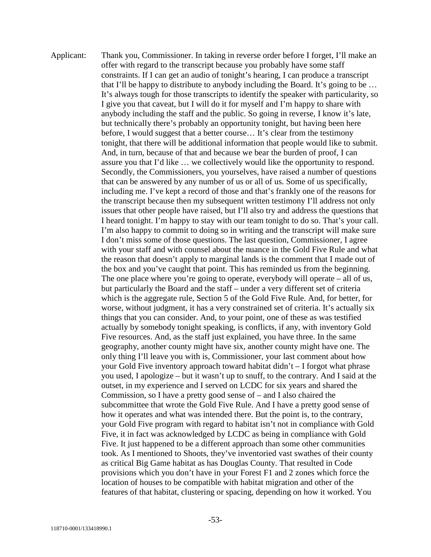Applicant: Thank you, Commissioner. In taking in reverse order before I forget, I'll make an offer with regard to the transcript because you probably have some staff constraints. If I can get an audio of tonight's hearing, I can produce a transcript that I'll be happy to distribute to anybody including the Board. It's going to be … It's always tough for those transcripts to identify the speaker with particularity, so I give you that caveat, but I will do it for myself and I'm happy to share with anybody including the staff and the public. So going in reverse, I know it's late, but technically there's probably an opportunity tonight, but having been here before, I would suggest that a better course… It's clear from the testimony tonight, that there will be additional information that people would like to submit. And, in turn, because of that and because we bear the burden of proof, I can assure you that I'd like … we collectively would like the opportunity to respond. Secondly, the Commissioners, you yourselves, have raised a number of questions that can be answered by any number of us or all of us. Some of us specifically, including me. I've kept a record of those and that's frankly one of the reasons for the transcript because then my subsequent written testimony I'll address not only issues that other people have raised, but I'll also try and address the questions that I heard tonight. I'm happy to stay with our team tonight to do so. That's your call. I'm also happy to commit to doing so in writing and the transcript will make sure I don't miss some of those questions. The last question, Commissioner, I agree with your staff and with counsel about the nuance in the Gold Five Rule and what the reason that doesn't apply to marginal lands is the comment that I made out of the box and you've caught that point. This has reminded us from the beginning. The one place where you're going to operate, everybody will operate – all of us, but particularly the Board and the staff – under a very different set of criteria which is the aggregate rule, Section 5 of the Gold Five Rule. And, for better, for worse, without judgment, it has a very constrained set of criteria. It's actually six things that you can consider. And, to your point, one of these as was testified actually by somebody tonight speaking, is conflicts, if any, with inventory Gold Five resources. And, as the staff just explained, you have three. In the same geography, another county might have six, another county might have one. The only thing I'll leave you with is, Commissioner, your last comment about how your Gold Five inventory approach toward habitat didn't – I forgot what phrase you used, I apologize – but it wasn't up to snuff, to the contrary. And I said at the outset, in my experience and I served on LCDC for six years and shared the Commission, so I have a pretty good sense of – and I also chaired the subcommittee that wrote the Gold Five Rule. And I have a pretty good sense of how it operates and what was intended there. But the point is, to the contrary, your Gold Five program with regard to habitat isn't not in compliance with Gold Five, it in fact was acknowledged by LCDC as being in compliance with Gold Five. It just happened to be a different approach than some other communities took. As I mentioned to Shoots, they've inventoried vast swathes of their county as critical Big Game habitat as has Douglas County. That resulted in Code provisions which you don't have in your Forest F1 and 2 zones which force the location of houses to be compatible with habitat migration and other of the features of that habitat, clustering or spacing, depending on how it worked. You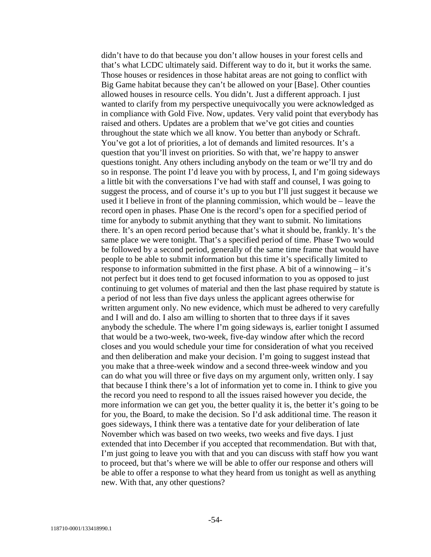didn't have to do that because you don't allow houses in your forest cells and that's what LCDC ultimately said. Different way to do it, but it works the same. Those houses or residences in those habitat areas are not going to conflict with Big Game habitat because they can't be allowed on your [Base]. Other counties allowed houses in resource cells. You didn't. Just a different approach. I just wanted to clarify from my perspective unequivocally you were acknowledged as in compliance with Gold Five. Now, updates. Very valid point that everybody has raised and others. Updates are a problem that we've got cities and counties throughout the state which we all know. You better than anybody or Schraft. You've got a lot of priorities, a lot of demands and limited resources. It's a question that you'll invest on priorities. So with that, we're happy to answer questions tonight. Any others including anybody on the team or we'll try and do so in response. The point I'd leave you with by process, I, and I'm going sideways a little bit with the conversations I've had with staff and counsel, I was going to suggest the process, and of course it's up to you but I'll just suggest it because we used it I believe in front of the planning commission, which would be – leave the record open in phases. Phase One is the record's open for a specified period of time for anybody to submit anything that they want to submit. No limitations there. It's an open record period because that's what it should be, frankly. It's the same place we were tonight. That's a specified period of time. Phase Two would be followed by a second period, generally of the same time frame that would have people to be able to submit information but this time it's specifically limited to response to information submitted in the first phase. A bit of a winnowing – it's not perfect but it does tend to get focused information to you as opposed to just continuing to get volumes of material and then the last phase required by statute is a period of not less than five days unless the applicant agrees otherwise for written argument only. No new evidence, which must be adhered to very carefully and I will and do. I also am willing to shorten that to three days if it saves anybody the schedule. The where I'm going sideways is, earlier tonight I assumed that would be a two-week, two-week, five-day window after which the record closes and you would schedule your time for consideration of what you received and then deliberation and make your decision. I'm going to suggest instead that you make that a three-week window and a second three-week window and you can do what you will three or five days on my argument only, written only. I say that because I think there's a lot of information yet to come in. I think to give you the record you need to respond to all the issues raised however you decide, the more information we can get you, the better quality it is, the better it's going to be for you, the Board, to make the decision. So I'd ask additional time. The reason it goes sideways, I think there was a tentative date for your deliberation of late November which was based on two weeks, two weeks and five days. I just extended that into December if you accepted that recommendation. But with that, I'm just going to leave you with that and you can discuss with staff how you want to proceed, but that's where we will be able to offer our response and others will be able to offer a response to what they heard from us tonight as well as anything new. With that, any other questions?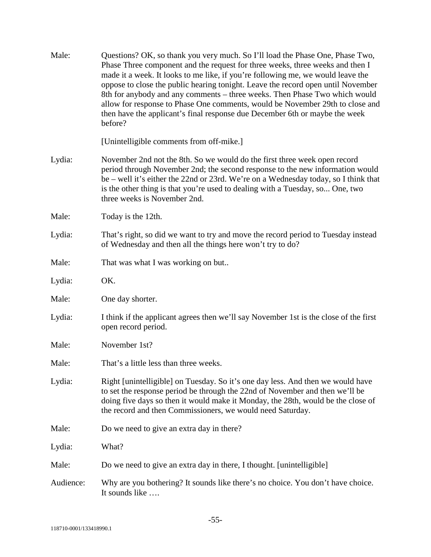| Male:     | Questions? OK, so thank you very much. So I'll load the Phase One, Phase Two,<br>Phase Three component and the request for three weeks, three weeks and then I<br>made it a week. It looks to me like, if you're following me, we would leave the<br>oppose to close the public hearing tonight. Leave the record open until November<br>8th for anybody and any comments – three weeks. Then Phase Two which would<br>allow for response to Phase One comments, would be November 29th to close and<br>then have the applicant's final response due December 6th or maybe the week<br>before? |
|-----------|------------------------------------------------------------------------------------------------------------------------------------------------------------------------------------------------------------------------------------------------------------------------------------------------------------------------------------------------------------------------------------------------------------------------------------------------------------------------------------------------------------------------------------------------------------------------------------------------|
|           | [Unintelligible comments from off-mike.]                                                                                                                                                                                                                                                                                                                                                                                                                                                                                                                                                       |
| Lydia:    | November 2nd not the 8th. So we would do the first three week open record<br>period through November 2nd; the second response to the new information would<br>be – well it's either the 22nd or 23rd. We're on a Wednesday today, so I think that<br>is the other thing is that you're used to dealing with a Tuesday, so One, two<br>three weeks is November 2nd.                                                                                                                                                                                                                             |
| Male:     | Today is the 12th.                                                                                                                                                                                                                                                                                                                                                                                                                                                                                                                                                                             |
| Lydia:    | That's right, so did we want to try and move the record period to Tuesday instead<br>of Wednesday and then all the things here won't try to do?                                                                                                                                                                                                                                                                                                                                                                                                                                                |
| Male:     | That was what I was working on but                                                                                                                                                                                                                                                                                                                                                                                                                                                                                                                                                             |
| Lydia:    | OK.                                                                                                                                                                                                                                                                                                                                                                                                                                                                                                                                                                                            |
| Male:     | One day shorter.                                                                                                                                                                                                                                                                                                                                                                                                                                                                                                                                                                               |
| Lydia:    | I think if the applicant agrees then we'll say November 1st is the close of the first<br>open record period.                                                                                                                                                                                                                                                                                                                                                                                                                                                                                   |
| Male:     | November 1st?                                                                                                                                                                                                                                                                                                                                                                                                                                                                                                                                                                                  |
| Male:     | That's a little less than three weeks.                                                                                                                                                                                                                                                                                                                                                                                                                                                                                                                                                         |
| Lydia:    | Right [unintelligible] on Tuesday. So it's one day less. And then we would have<br>to set the response period be through the 22nd of November and then we'll be<br>doing five days so then it would make it Monday, the 28th, would be the close of<br>the record and then Commissioners, we would need Saturday.                                                                                                                                                                                                                                                                              |
| Male:     | Do we need to give an extra day in there?                                                                                                                                                                                                                                                                                                                                                                                                                                                                                                                                                      |
| Lydia:    | What?                                                                                                                                                                                                                                                                                                                                                                                                                                                                                                                                                                                          |
| Male:     | Do we need to give an extra day in there, I thought. [unintelligible]                                                                                                                                                                                                                                                                                                                                                                                                                                                                                                                          |
| Audience: | Why are you bothering? It sounds like there's no choice. You don't have choice.<br>It sounds like                                                                                                                                                                                                                                                                                                                                                                                                                                                                                              |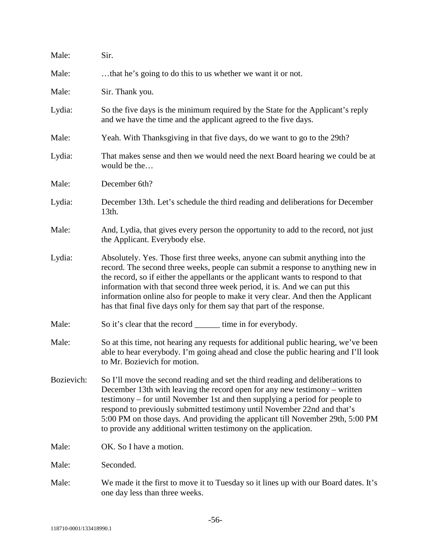| Male:      | Sir.                                                                                                                                                                                                                                                                                                                                                                                                                                                                                             |
|------------|--------------------------------------------------------------------------------------------------------------------------------------------------------------------------------------------------------------------------------------------------------------------------------------------------------------------------------------------------------------------------------------------------------------------------------------------------------------------------------------------------|
| Male:      | that he's going to do this to us whether we want it or not.                                                                                                                                                                                                                                                                                                                                                                                                                                      |
| Male:      | Sir. Thank you.                                                                                                                                                                                                                                                                                                                                                                                                                                                                                  |
| Lydia:     | So the five days is the minimum required by the State for the Applicant's reply<br>and we have the time and the applicant agreed to the five days.                                                                                                                                                                                                                                                                                                                                               |
| Male:      | Yeah. With Thanksgiving in that five days, do we want to go to the 29th?                                                                                                                                                                                                                                                                                                                                                                                                                         |
| Lydia:     | That makes sense and then we would need the next Board hearing we could be at<br>would be the                                                                                                                                                                                                                                                                                                                                                                                                    |
| Male:      | December 6th?                                                                                                                                                                                                                                                                                                                                                                                                                                                                                    |
| Lydia:     | December 13th. Let's schedule the third reading and deliberations for December<br>13th.                                                                                                                                                                                                                                                                                                                                                                                                          |
| Male:      | And, Lydia, that gives every person the opportunity to add to the record, not just<br>the Applicant. Everybody else.                                                                                                                                                                                                                                                                                                                                                                             |
| Lydia:     | Absolutely. Yes. Those first three weeks, anyone can submit anything into the<br>record. The second three weeks, people can submit a response to anything new in<br>the record, so if either the appellants or the applicant wants to respond to that<br>information with that second three week period, it is. And we can put this<br>information online also for people to make it very clear. And then the Applicant<br>has that final five days only for them say that part of the response. |
| Male:      | So it's clear that the record ________ time in for everybody.                                                                                                                                                                                                                                                                                                                                                                                                                                    |
| Male:      | So at this time, not hearing any requests for additional public hearing, we've been<br>able to hear everybody. I'm going ahead and close the public hearing and I'll look<br>to Mr. Bozievich for motion.                                                                                                                                                                                                                                                                                        |
| Bozievich: | So I'll move the second reading and set the third reading and deliberations to<br>December 13th with leaving the record open for any new testimony – written<br>testimony – for until November 1st and then supplying a period for people to<br>respond to previously submitted testimony until November 22nd and that's<br>5:00 PM on those days. And providing the applicant till November 29th, 5:00 PM<br>to provide any additional written testimony on the application.                    |
| Male:      | OK. So I have a motion.                                                                                                                                                                                                                                                                                                                                                                                                                                                                          |
| Male:      | Seconded.                                                                                                                                                                                                                                                                                                                                                                                                                                                                                        |
| Male:      | We made it the first to move it to Tuesday so it lines up with our Board dates. It's<br>one day less than three weeks.                                                                                                                                                                                                                                                                                                                                                                           |